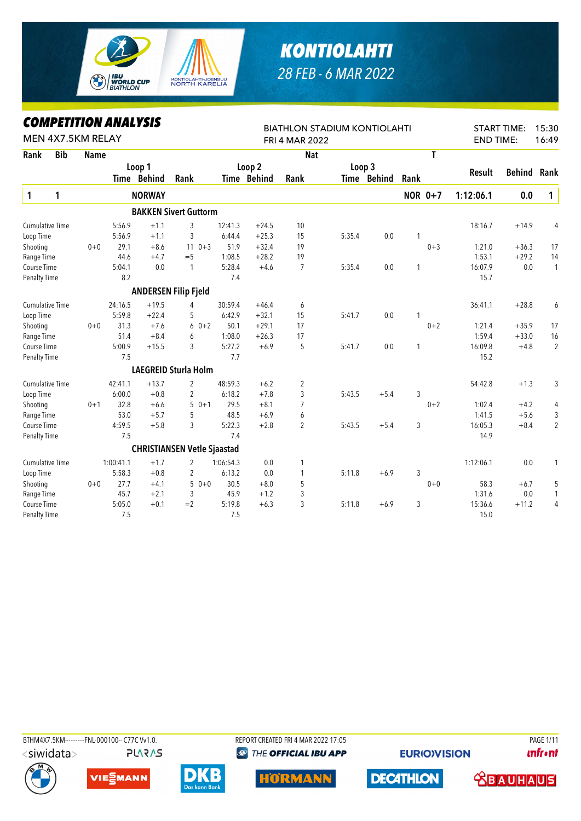

## *KONTIOLAHTI 28 FEB - 6 MAR 2022*

## *COMPETITION ANALYSIS*

|                        |            | LUMPEIIIIUN ANALYƏIƏ |           |               |                                    |           |             | <b>BIATHLON STADIUM KONTIOLAHTI</b> |        |             |              |                |                  | <b>START TIME:</b> | 15:30          |
|------------------------|------------|----------------------|-----------|---------------|------------------------------------|-----------|-------------|-------------------------------------|--------|-------------|--------------|----------------|------------------|--------------------|----------------|
|                        |            | MEN 4X7.5KM RELAY    |           |               |                                    |           |             | <b>FRI 4 MAR 2022</b>               |        |             |              |                | <b>END TIME:</b> |                    | 16:49          |
| Rank                   | <b>Bib</b> | <b>Name</b>          |           |               |                                    |           |             | <b>Nat</b>                          |        |             |              | T.             |                  |                    |                |
|                        |            |                      |           | Loop 1        |                                    |           | Loop 2      |                                     |        | Loop 3      |              |                |                  |                    |                |
|                        |            |                      |           | Time Behind   | Rank                               |           | Time Behind | Rank                                |        | Time Behind | Rank         |                | Result           | <b>Behind</b>      | Rank           |
| $\mathbf{1}$           | 1          |                      |           | <b>NORWAY</b> |                                    |           |             |                                     |        |             |              | <b>NOR 0+7</b> | 1:12:06.1        | 0.0                | $\mathbf{1}$   |
|                        |            |                      |           |               | <b>BAKKEN Sivert Guttorm</b>       |           |             |                                     |        |             |              |                |                  |                    |                |
| <b>Cumulative Time</b> |            |                      | 5:56.9    | $+1.1$        | 3                                  | 12:41.3   | $+24.5$     | 10                                  |        |             |              |                | 18:16.7          | $+14.9$            | 4              |
| Loop Time              |            |                      | 5:56.9    | $+1.1$        | 3                                  | 6:44.4    | $+25.3$     | 15                                  | 5:35.4 | 0.0         | 1            |                |                  |                    |                |
| Shooting               |            | $0 + 0$              | 29.1      | $+8.6$        | $110+3$                            | 51.9      | $+32.4$     | 19                                  |        |             |              | $0 + 3$        | 1:21.0           | $+36.3$            | 17             |
| Range Time             |            |                      | 44.6      | $+4.7$        | $=$ 5                              | 1:08.5    | $+28.2$     | 19                                  |        |             |              |                | 1:53.1           | $+29.2$            | 14             |
| Course Time            |            |                      | 5:04.1    | 0.0           | $\mathbf{1}$                       | 5:28.4    | $+4.6$      | $\overline{7}$                      | 5:35.4 | 0.0         | 1            |                | 16:07.9          | 0.0                | $\mathbf{1}$   |
| <b>Penalty Time</b>    |            |                      | 8.2       |               |                                    | 7.4       |             |                                     |        |             |              |                | 15.7             |                    |                |
|                        |            |                      |           |               | <b>ANDERSEN Filip Fjeld</b>        |           |             |                                     |        |             |              |                |                  |                    |                |
| <b>Cumulative Time</b> |            |                      | 24:16.5   | $+19.5$       | 4                                  | 30:59.4   | $+46.4$     | 6                                   |        |             |              |                | 36:41.1          | $+28.8$            | 6              |
| Loop Time              |            |                      | 5:59.8    | $+22.4$       | 5                                  | 6:42.9    | $+32.1$     | 15                                  | 5:41.7 | 0.0         | 1            |                |                  |                    |                |
| Shooting               |            | $0 + 0$              | 31.3      | $+7.6$        | $60+2$                             | 50.1      | $+29.1$     | 17                                  |        |             |              | $0 + 2$        | 1:21.4           | $+35.9$            | 17             |
| Range Time             |            |                      | 51.4      | $+8.4$        | 6                                  | 1:08.0    | $+26.3$     | 17                                  |        |             |              |                | 1:59.4           | $+33.0$            | 16             |
| Course Time            |            |                      | 5:00.9    | $+15.5$       | 3                                  | 5:27.2    | $+6.9$      | 5                                   | 5:41.7 | 0.0         | $\mathbf{1}$ |                | 16:09.8          | $+4.8$             | $\overline{2}$ |
| <b>Penalty Time</b>    |            |                      | 7.5       |               |                                    | 7.7       |             |                                     |        |             |              |                | 15.2             |                    |                |
|                        |            |                      |           |               | <b>LAEGREID Sturla Holm</b>        |           |             |                                     |        |             |              |                |                  |                    |                |
| <b>Cumulative Time</b> |            |                      | 42:41.1   | $+13.7$       | $\overline{2}$                     | 48:59.3   | $+6.2$      | 2                                   |        |             |              |                | 54:42.8          | $+1.3$             | 3              |
| Loop Time              |            |                      | 6:00.0    | $+0.8$        | $\overline{2}$                     | 6:18.2    | $+7.8$      | 3                                   | 5:43.5 | $+5.4$      | 3            |                |                  |                    |                |
| Shooting               |            | $0 + 1$              | 32.8      | $+6.6$        | $50+1$                             | 29.5      | $+8.1$      | $\overline{7}$                      |        |             |              | $0 + 2$        | 1:02.4           | $+4.2$             | 4              |
| Range Time             |            |                      | 53.0      | $+5.7$        | 5                                  | 48.5      | $+6.9$      | 6                                   |        |             |              |                | 1:41.5           | $+5.6$             | 3              |
| Course Time            |            |                      | 4:59.5    | $+5.8$        | 3                                  | 5:22.3    | $+2.8$      | $\overline{2}$                      | 5:43.5 | $+5.4$      | 3            |                | 16:05.3          | $+8.4$             | $\overline{2}$ |
| <b>Penalty Time</b>    |            |                      | 7.5       |               |                                    | 7.4       |             |                                     |        |             |              |                | 14.9             |                    |                |
|                        |            |                      |           |               | <b>CHRISTIANSEN Vetle Sjaastad</b> |           |             |                                     |        |             |              |                |                  |                    |                |
| <b>Cumulative Time</b> |            |                      | 1:00:41.1 | $+1.7$        | $\overline{2}$                     | 1:06:54.3 | 0.0         | 1                                   |        |             |              |                | 1:12:06.1        | 0.0                | 1              |
| Loop Time              |            |                      | 5:58.3    | $+0.8$        | $\overline{2}$                     | 6:13.2    | 0.0         | 1                                   | 5:11.8 | $+6.9$      | 3            |                |                  |                    |                |
| Shooting               |            | $0 + 0$              | 27.7      | $+4.1$        | $50+0$                             | 30.5      | $+8.0$      | 5                                   |        |             |              | $0 + 0$        | 58.3             | $+6.7$             | 5              |
| Range Time             |            |                      | 45.7      | $+2.1$        | 3                                  | 45.9      | $+1.2$      | 3                                   |        |             |              |                | 1:31.6           | $0.0\,$            | 1              |
| Course Time            |            |                      | 5:05.0    | $+0.1$        | $=2$                               | 5:19.8    | $+6.3$      | 3                                   | 5:11.8 | $+6.9$      | 3            |                | 15:36.6          | $+11.2$            | $\overline{4}$ |
| Penalty Time           |            |                      | 7.5       |               |                                    | 7.5       |             |                                     |        |             |              |                | 15.0             |                    |                |

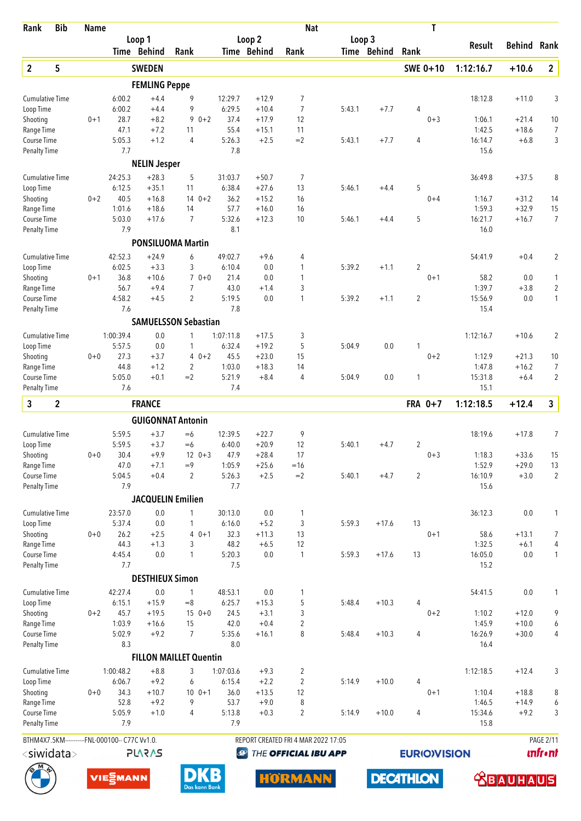| Rank                               | <b>Bib</b>                                    | <b>Name</b> |                |                        |                               |                |                    | <b>Nat</b>                          |        |             | T                   |                  |                    |                      |
|------------------------------------|-----------------------------------------------|-------------|----------------|------------------------|-------------------------------|----------------|--------------------|-------------------------------------|--------|-------------|---------------------|------------------|--------------------|----------------------|
|                                    |                                               |             |                | Loop 1                 |                               |                | Loop <sub>2</sub>  |                                     | Loop 3 |             |                     | Result           | Behind             | Rank                 |
|                                    |                                               |             |                | Time Behind            | Rank                          |                | Time Behind        | Rank                                |        | Time Behind | Rank                |                  |                    |                      |
| $\overline{2}$                     | 5                                             |             |                | <b>SWEDEN</b>          |                               |                |                    |                                     |        |             | SWE 0+10            | 1:12:16.7        | $+10.6$            | $\overline{2}$       |
|                                    |                                               |             |                | <b>FEMLING Peppe</b>   |                               |                |                    |                                     |        |             |                     |                  |                    |                      |
| <b>Cumulative Time</b>             |                                               |             | 6:00.2         | $+4.4$                 | 9                             | 12:29.7        | $+12.9$            | 7                                   |        |             |                     | 18:12.8          | $+11.0$            | 3                    |
| Loop Time                          |                                               |             | 6:00.2         | $+4.4$                 | 9                             | 6:29.5         | $+10.4$            | 7                                   | 5:43.1 | $+7.7$      | 4                   |                  |                    |                      |
| Shooting<br>Range Time             |                                               | $0 + 1$     | 28.7<br>47.1   | $+8.2$<br>$+7.2$       | $90+2$<br>11                  | 37.4<br>55.4   | $+17.9$<br>$+15.1$ | 12<br>11                            |        |             | $0 + 3$             | 1:06.1<br>1:42.5 | $+21.4$<br>$+18.6$ | 10<br>$\overline{7}$ |
| Course Time                        |                                               |             | 5:05.3         | $+1.2$                 | $\overline{4}$                | 5:26.3         | $+2.5$             | $=2$                                | 5:43.1 | $+7.7$      | 4                   | 16:14.7          | $+6.8$             | 3                    |
| <b>Penalty Time</b>                |                                               |             | 7.7            |                        |                               | 7.8            |                    |                                     |        |             |                     | 15.6             |                    |                      |
|                                    |                                               |             |                | <b>NELIN Jesper</b>    |                               |                |                    |                                     |        |             |                     |                  |                    |                      |
| <b>Cumulative Time</b>             |                                               |             | 24:25.3        | $+28.3$                | 5                             | 31:03.7        | $+50.7$            | 7                                   |        |             |                     | 36:49.8          | $+37.5$            | 8                    |
| Loop Time                          |                                               |             | 6:12.5         | $+35.1$                | 11                            | 6:38.4         | $+27.6$            | 13                                  | 5:46.1 | $+4.4$      | 5                   |                  |                    |                      |
| Shooting                           |                                               | $0 + 2$     | 40.5           | $+16.8$                | $140+2$                       | 36.2           | $+15.2$            | 16                                  |        |             | $0 + 4$             | 1:16.7           | $+31.2$            | 14                   |
| Range Time                         |                                               |             | 1:01.6         | $+18.6$                | 14                            | 57.7           | $+16.0$            | 16                                  |        |             |                     | 1:59.3           | $+32.9$            | 15                   |
| Course Time                        |                                               |             | 5:03.0         | $+17.6$                | 7                             | 5:32.6         | $+12.3$            | 10                                  | 5:46.1 | $+4.4$      | 5                   | 16:21.7          | $+16.7$            | $\overline{7}$       |
| <b>Penalty Time</b>                |                                               |             | 7.9            |                        |                               | 8.1            |                    |                                     |        |             |                     | 16.0             |                    |                      |
|                                    |                                               |             |                |                        | <b>PONSILUOMA Martin</b>      |                |                    |                                     |        |             |                     |                  |                    |                      |
| <b>Cumulative Time</b>             |                                               |             | 42:52.3        | $+24.9$                | 6                             | 49:02.7        | $+9.6$             | 4                                   |        |             |                     | 54:41.9          | $+0.4$             | 2                    |
| Loop Time                          |                                               |             | 6:02.5         | $+3.3$                 | 3                             | 6:10.4         | 0.0                | 1                                   | 5:39.2 | $+1.1$      | $\overline{2}$      |                  |                    |                      |
| Shooting<br>Range Time             |                                               | $0 + 1$     | 36.8<br>56.7   | $+10.6$<br>$+9.4$      | $70+0$<br>$\overline{7}$      | 21.4<br>43.0   | 0.0<br>$+1.4$      | $\mathbf{1}$<br>3                   |        |             | $0 + 1$             | 58.2<br>1:39.7   | 0.0<br>$+3.8$      | 1<br>$\overline{2}$  |
| Course Time                        |                                               |             | 4:58.2         | $+4.5$                 | $\overline{2}$                | 5:19.5         | 0.0                | 1                                   | 5:39.2 | $+1.1$      | $\overline{2}$      | 15:56.9          | 0.0                | $\mathbf{1}$         |
| <b>Penalty Time</b>                |                                               |             | 7.6            |                        |                               | 7.8            |                    |                                     |        |             |                     | 15.4             |                    |                      |
|                                    |                                               |             |                |                        | <b>SAMUELSSON Sebastian</b>   |                |                    |                                     |        |             |                     |                  |                    |                      |
| <b>Cumulative Time</b>             |                                               |             | 1:00:39.4      | 0.0                    | 1                             | 1:07:11.8      | $+17.5$            | 3                                   |        |             |                     | 1:12:16.7        | $+10.6$            | $\overline{2}$       |
| Loop Time                          |                                               |             | 5:57.5         | 0.0                    | 1                             | 6:32.4         | $+19.2$            | 5                                   | 5:04.9 | 0.0         | 1                   |                  |                    |                      |
| Shooting                           |                                               | $0 + 0$     | 27.3           | $+3.7$                 | $40+2$                        | 45.5           | $+23.0$            | 15                                  |        |             | $0 + 2$             | 1:12.9           | $+21.3$            | 10                   |
| Range Time                         |                                               |             | 44.8           | $+1.2$                 | 2                             | 1:03.0         | $+18.3$            | 14                                  |        |             |                     | 1:47.8           | $+16.2$            | 7                    |
| Course Time                        |                                               |             | 5:05.0         | $+0.1$                 | $=2$                          | 5:21.9         | $+8.4$             | 4                                   | 5:04.9 | 0.0         | 1                   | 15:31.8          | $+6.4$             | 2                    |
| <b>Penalty Time</b>                |                                               |             | 7.6            |                        |                               | 7.4            |                    |                                     |        |             |                     | 15.1             |                    |                      |
| 3                                  | $\boldsymbol{2}$                              |             |                | <b>FRANCE</b>          |                               |                |                    |                                     |        |             | FRA 0+7             | 1:12:18.5        | $+12.4$            | 3                    |
|                                    |                                               |             |                |                        | <b>GUIGONNAT Antonin</b>      |                |                    |                                     |        |             |                     |                  |                    |                      |
| <b>Cumulative Time</b>             |                                               |             | 5:59.5         | $+3.7$                 | $=6$                          | 12:39.5        | $+22.7$            | 9                                   |        |             |                     | 18:19.6          | $+17.8$            | $\overline{7}$       |
| Loop Time                          |                                               |             | 5:59.5         | $+3.7$                 | $=6$                          | 6:40.0         | $+20.9$            | 12                                  | 5:40.1 | $+4.7$      | $\overline{2}$      |                  |                    |                      |
| Shooting                           |                                               | $0 + 0$     | 30.4           | $+9.9$                 | $12 \t 0+3$                   | 47.9           | $+28.4$            | 17                                  |        |             | $0 + 3$             | 1:18.3           | $+33.6$            | 15                   |
| Range Time                         |                                               |             | 47.0           | $+7.1$                 | $=9$                          | 1:05.9         | $+25.6$            | $=16$                               |        |             |                     | 1:52.9           | $+29.0$            | 13                   |
| Course Time<br><b>Penalty Time</b> |                                               |             | 5:04.5<br>7.9  | $+0.4$                 | $\overline{2}$                | 5:26.3<br>7.7  | $+2.5$             | $=2$                                | 5:40.1 | $+4.7$      | $\overline{2}$      | 16:10.9<br>15.6  | $+3.0$             | $\overline{2}$       |
|                                    |                                               |             |                |                        | <b>JACQUELIN Emilien</b>      |                |                    |                                     |        |             |                     |                  |                    |                      |
|                                    |                                               |             |                |                        |                               |                |                    |                                     |        |             |                     |                  |                    |                      |
| <b>Cumulative Time</b>             |                                               |             | 23:57.0        | 0.0                    | 1                             | 30:13.0        | $0.0\,$            | 1                                   |        | $+17.6$     | 13                  | 36:12.3          | 0.0                | 1                    |
| Loop Time<br>Shooting              |                                               | $0 + 0$     | 5:37.4<br>26.2 | 0.0<br>$+2.5$          | 1<br>$40+1$                   | 6:16.0<br>32.3 | $+5.2$<br>$+11.3$  | 3<br>13                             | 5:59.3 |             | $0 + 1$             | 58.6             | $+13.1$            | 7                    |
| Range Time                         |                                               |             | 44.3           | $+1.3$                 | 3                             | 48.2           | $+6.5$             | 12                                  |        |             |                     | 1:32.5           | $+6.1$             | 4                    |
| Course Time                        |                                               |             | 4:45.4         | 0.0                    | 1                             | 5:20.3         | 0.0                | $\mathbf{1}$                        | 5:59.3 | $+17.6$     | 13                  | 16:05.0          | 0.0                | 1                    |
| <b>Penalty Time</b>                |                                               |             | 7.7            |                        |                               | 7.5            |                    |                                     |        |             |                     | 15.2             |                    |                      |
|                                    |                                               |             |                | <b>DESTHIEUX Simon</b> |                               |                |                    |                                     |        |             |                     |                  |                    |                      |
| <b>Cumulative Time</b>             |                                               |             | 42:27.4        | 0.0                    | $\mathbf{1}$                  | 48:53.1        | $0.0\,$            | 1                                   |        |             |                     | 54:41.5          | 0.0                | 1                    |
| Loop Time                          |                                               |             | 6:15.1         | $+15.9$                | $=8$                          | 6:25.7         | $+15.3$            | 5                                   | 5:48.4 | $+10.3$     | 4                   |                  |                    |                      |
| Shooting                           |                                               | $0 + 2$     | 45.7           | $+19.5$                | $150+0$                       | 24.5           | $+3.1$             | 3                                   |        |             | $0 + 2$             | 1:10.2           | $+12.0$            | 9                    |
| Range Time                         |                                               |             | 1:03.9         | $+16.6$                | 15                            | 42.0           | $+0.4$             | $\overline{2}$                      |        |             |                     | 1:45.9           | $+10.0$            | 6                    |
| Course Time                        |                                               |             | 5:02.9         | $+9.2$                 | $\overline{7}$                | 5:35.6<br>8.0  | $+16.1$            | 8                                   | 5:48.4 | $+10.3$     | 4                   | 16:26.9<br>16.4  | $+30.0$            | 4                    |
| <b>Penalty Time</b>                |                                               |             | 8.3            |                        |                               |                |                    |                                     |        |             |                     |                  |                    |                      |
|                                    |                                               |             |                |                        | <b>FILLON MAILLET Quentin</b> |                |                    |                                     |        |             |                     |                  |                    |                      |
| <b>Cumulative Time</b>             |                                               |             | 1:00:48.2      | $+8.8$                 | 3                             | 1:07:03.6      | $+9.3$             | 2                                   |        |             |                     | 1:12:18.5        | $+12.4$            | 3                    |
| Loop Time<br>Shooting              |                                               | $0 + 0$     | 6:06.7<br>34.3 | $+9.2$<br>$+10.7$      | 6<br>$100 + 1$                | 6:15.4<br>36.0 | $+2.2$<br>$+13.5$  | $\overline{2}$<br>12                | 5:14.9 | $+10.0$     | 4<br>$0 + 1$        | 1:10.4           | $+18.8$            | 8                    |
| Range Time                         |                                               |             | 52.8           | $+9.2$                 | 9                             | 53.7           | $+9.0$             | 8                                   |        |             |                     | 1:46.5           | $+14.9$            | 6                    |
| Course Time                        |                                               |             | 5:05.9         | $+1.0$                 | 4                             | 5:13.8         | $+0.3$             | 2                                   | 5:14.9 | $+10.0$     | 4                   | 15:34.6          | $+9.2$             | 3                    |
| Penalty Time                       |                                               |             | 7.9            |                        |                               | 7.9            |                    |                                     |        |             |                     | 15.8             |                    |                      |
|                                    | BTHM4X7.5KM----------FNL-000100-- C77C Vv1.0. |             |                |                        |                               |                |                    | REPORT CREATED FRI 4 MAR 2022 17:05 |        |             |                     |                  |                    | <b>PAGE 2/11</b>     |
|                                    | <siwidata></siwidata>                         |             |                | <b>SV2V7L</b>          |                               | $\bigcirc$     |                    | THE OFFICIAL IBU APP                |        |             | <b>EURIO)VISION</b> |                  |                    | <b>unfr</b> •nt      |
|                                    |                                               |             |                |                        |                               |                |                    |                                     |        |             |                     |                  |                    |                      |

**HORMANN** 

**DECATHLON** 

 **<u>CBAUHAUS</u>** 





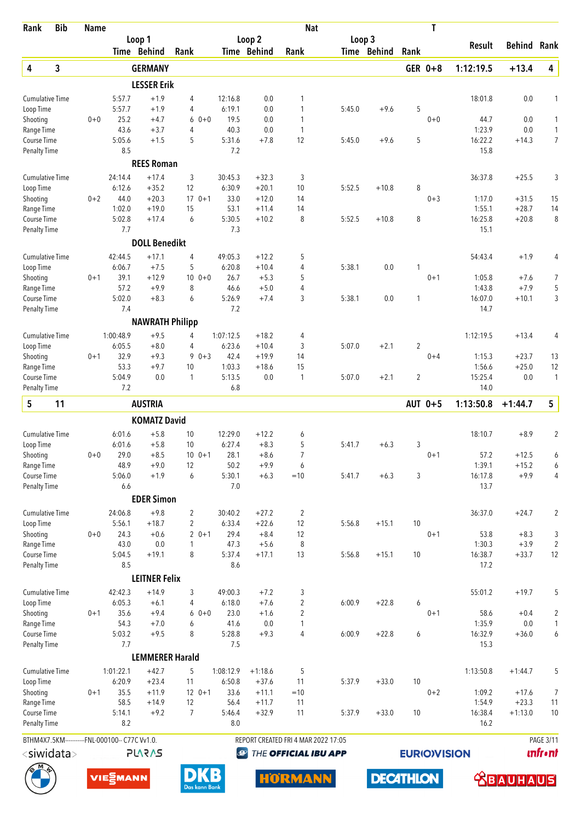| Rank                                | <b>Bib</b> | <b>Name</b> |                                               |                        |                |                   |                    | <b>Nat</b>                          |        |                  |                | T                   |                   |                    |                      |
|-------------------------------------|------------|-------------|-----------------------------------------------|------------------------|----------------|-------------------|--------------------|-------------------------------------|--------|------------------|----------------|---------------------|-------------------|--------------------|----------------------|
|                                     |            |             | Loop 1                                        |                        |                |                   | Loop <sub>2</sub>  |                                     | Loop 3 |                  |                |                     | Result            | Behind             | Rank                 |
|                                     |            |             | Time Behind                                   |                        | Rank           |                   | Time Behind        | Rank                                |        | Time Behind      | Rank           |                     |                   |                    |                      |
| 4                                   | 3          |             |                                               | <b>GERMANY</b>         |                |                   |                    |                                     |        |                  |                | GER 0+8             | 1:12:19.5         | $+13.4$            | 4                    |
|                                     |            |             |                                               | <b>LESSER Erik</b>     |                |                   |                    |                                     |        |                  |                |                     |                   |                    |                      |
| <b>Cumulative Time</b><br>Loop Time |            |             | 5:57.7<br>5:57.7                              | $+1.9$<br>$+1.9$       | 4<br>4         | 12:16.8<br>6:19.1 | 0.0<br>0.0         | 1<br>1                              | 5:45.0 | $+9.6$           | 5              |                     | 18:01.8           | $0.0\,$            | 1                    |
| Shooting                            |            | $0 + 0$     | 25.2                                          | $+4.7$                 | $60+0$         | 19.5              | 0.0                | 1                                   |        |                  |                | $0 + 0$             | 44.7              | 0.0                | $\mathbf{1}$         |
| Range Time                          |            |             | 43.6                                          | $+3.7$                 | 4              | 40.3              | 0.0                | $\mathbf{1}$                        |        |                  |                |                     | 1:23.9            | 0.0                | $\mathbf{1}$         |
| Course Time                         |            |             | 5:05.6                                        | $+1.5$                 | 5              | 5:31.6            | $+7.8$             | 12                                  | 5:45.0 | $+9.6$           | 5              |                     | 16:22.2           | $+14.3$            | $\overline{7}$       |
| <b>Penalty Time</b>                 |            |             | 8.5                                           |                        |                | 7.2               |                    |                                     |        |                  |                |                     | 15.8              |                    |                      |
|                                     |            |             |                                               | <b>REES Roman</b>      |                |                   |                    |                                     |        |                  |                |                     |                   |                    |                      |
| <b>Cumulative Time</b>              |            |             | 24:14.4                                       | $+17.4$                | 3              | 30:45.3           | $+32.3$            | 3                                   |        |                  |                |                     | 36:37.8           | $+25.5$            | 3                    |
| Loop Time                           |            |             | 6:12.6                                        | $+35.2$                | 12             | 6:30.9            | $+20.1$            | 10                                  | 5:52.5 | $+10.8$          | 8              |                     |                   |                    |                      |
| Shooting                            |            | $0 + 2$     | 44.0<br>1:02.0                                | $+20.3$<br>$+19.0$     | $170+1$<br>15  | 33.0<br>53.1      | $+12.0$            | 14<br>14                            |        |                  |                | $0 + 3$             | 1:17.0<br>1:55.1  | $+31.5$<br>$+28.7$ | 15                   |
| Range Time<br>Course Time           |            |             | 5:02.8                                        | $+17.4$                | 6              | 5:30.5            | $+11.4$<br>$+10.2$ | 8                                   | 5:52.5 | $+10.8$          | 8              |                     | 16:25.8           | $+20.8$            | 14<br>8              |
| <b>Penalty Time</b>                 |            |             | 7.7                                           |                        |                | 7.3               |                    |                                     |        |                  |                |                     | 15.1              |                    |                      |
|                                     |            |             |                                               | <b>DOLL Benedikt</b>   |                |                   |                    |                                     |        |                  |                |                     |                   |                    |                      |
| <b>Cumulative Time</b>              |            |             | 42:44.5                                       | $+17.1$                | 4              | 49:05.3           | $+12.2$            | 5                                   |        |                  |                |                     | 54:43.4           | $+1.9$             | 4                    |
| Loop Time                           |            |             | 6:06.7                                        | $+7.5$                 | 5              | 6:20.8            | $+10.4$            | 4                                   | 5:38.1 | 0.0              | 1              |                     |                   |                    |                      |
| Shooting                            |            | $0 + 1$     | 39.1                                          | $+12.9$                | $100 + 0$      | 26.7              | $+5.3$             | 5                                   |        |                  |                | $0 + 1$             | 1:05.8            | $+7.6$             | 7                    |
| Range Time                          |            |             | 57.2                                          | $+9.9$                 | 8              | 46.6              | $+5.0$             | 4                                   |        |                  |                |                     | 1:43.8            | $+7.9$             | 5                    |
| Course Time                         |            |             | 5:02.0                                        | $+8.3$                 | 6              | 5:26.9            | $+7.4$             | 3                                   | 5:38.1 | 0.0              | 1              |                     | 16:07.0           | $+10.1$            | 3                    |
| <b>Penalty Time</b>                 |            |             | 7.4                                           |                        |                | 7.2               |                    |                                     |        |                  |                |                     | 14.7              |                    |                      |
|                                     |            |             |                                               | <b>NAWRATH Philipp</b> |                |                   |                    |                                     |        |                  |                |                     |                   |                    |                      |
| <b>Cumulative Time</b>              |            |             | 1:00:48.9                                     | $+9.5$                 | 4              | 1:07:12.5         | $+18.2$            | 4                                   |        |                  |                |                     | 1:12:19.5         | $+13.4$            | 4                    |
| Loop Time                           |            |             | 6:05.5                                        | $+8.0$                 | 4              | 6:23.6            | $+10.4$            | 3                                   | 5:07.0 | $+2.1$           | $\overline{2}$ |                     |                   |                    |                      |
| Shooting<br>Range Time              |            | $0 + 1$     | 32.9<br>53.3                                  | $+9.3$<br>$+9.7$       | $90+3$<br>10   | 42.4<br>1:03.3    | $+19.9$<br>$+18.6$ | 14<br>15                            |        |                  |                | $0 + 4$             | 1:15.3<br>1:56.6  | $+23.7$<br>$+25.0$ | 13<br>12             |
| Course Time                         |            |             | 5:04.9                                        | 0.0                    | $\mathbf{1}$   | 5:13.5            | 0.0                | 1                                   | 5:07.0 | $+2.1$           | $\overline{2}$ |                     | 15:25.4           | 0.0                | $\mathbf{1}$         |
| <b>Penalty Time</b>                 |            |             | 7.2                                           |                        |                | 6.8               |                    |                                     |        |                  |                |                     | 14.0              |                    |                      |
| 5                                   | 11         |             |                                               | <b>AUSTRIA</b>         |                |                   |                    |                                     |        |                  |                | AUT 0+5             | 1:13:50.8         | $+1:44.7$          | 5                    |
|                                     |            |             |                                               | <b>KOMATZ David</b>    |                |                   |                    |                                     |        |                  |                |                     |                   |                    |                      |
| <b>Cumulative Time</b>              |            |             | 6:01.6                                        | $+5.8$                 | 10             | 12:29.0           | $+12.2$            |                                     |        |                  |                |                     | 18:10.7           | $+8.9$             | $\overline{2}$       |
| Loop Time                           |            |             | 6:01.6                                        | $+5.8$                 | 10             | 6:27.4            | $+8.3$             | 6<br>5                              | 5:41.7 | $+6.3$           | 3              |                     |                   |                    |                      |
| Shooting                            |            | $0 + 0$     | 29.0                                          | $+8.5$                 | $10 \t 0+1$    | 28.1              | $+8.6$             | 7                                   |        |                  |                | $0 + 1$             | 57.2              | $+12.5$            | 6                    |
| Range Time                          |            |             | 48.9                                          | $+9.0$                 | 12             | 50.2              | $+9.9$             | 6                                   |        |                  |                |                     | 1:39.1            | $+15.2$            | 6                    |
| Course Time                         |            |             | 5:06.0                                        | $+1.9$                 | 6              | 5:30.1            | $+6.3$             | $=10$                               | 5:41.7 | $+6.3$           | 3              |                     | 16:17.8           | $+9.9$             | 4                    |
| <b>Penalty Time</b>                 |            |             | 6.6                                           |                        |                | 7.0               |                    |                                     |        |                  |                |                     | 13.7              |                    |                      |
|                                     |            |             |                                               | <b>EDER Simon</b>      |                |                   |                    |                                     |        |                  |                |                     |                   |                    |                      |
| <b>Cumulative Time</b>              |            |             | 24:06.8                                       | $+9.8$                 | 2              | 30:40.2           | $+27.2$            | 2                                   |        |                  |                |                     | 36:37.0           | $+24.7$            | 2                    |
| Loop Time                           |            |             | 5:56.1                                        | $+18.7$                | $\overline{2}$ | 6:33.4            | $+22.6$            | 12                                  | 5:56.8 | $+15.1$          | 10             |                     |                   |                    |                      |
| Shooting                            |            | $0 + 0$     | 24.3                                          | $+0.6$                 | $20+1$         | 29.4              | $+8.4$             | 12                                  |        |                  |                | $0 + 1$             | 53.8              | $+8.3$             | 3                    |
| Range Time<br>Course Time           |            |             | 43.0<br>5:04.5                                | 0.0<br>$+19.1$         | 1<br>8         | 47.3<br>5:37.4    | $+5.6$<br>$+17.1$  | 8<br>13                             | 5:56.8 | $+15.1$          | 10             |                     | 1:30.3<br>16:38.7 | $+3.9$<br>$+33.7$  | $\overline{2}$<br>12 |
| Penalty Time                        |            |             | 8.5                                           |                        |                | 8.6               |                    |                                     |        |                  |                |                     | 17.2              |                    |                      |
|                                     |            |             |                                               | <b>LEITNER Felix</b>   |                |                   |                    |                                     |        |                  |                |                     |                   |                    |                      |
| <b>Cumulative Time</b>              |            |             | 42:42.3                                       | $+14.9$                | 3              | 49:00.3           | $+7.2$             | 3                                   |        |                  |                |                     | 55:01.2           | $+19.7$            | 5                    |
| Loop Time                           |            |             | 6:05.3                                        | $+6.1$                 | 4              | 6:18.0            | $+7.6$             | $\overline{\mathbf{c}}$             | 6:00.9 | $+22.8$          | 6              |                     |                   |                    |                      |
| Shooting                            |            | $0 + 1$     | 35.6                                          | $+9.4$                 | $60+0$         | 23.0              | $+1.6$             | 2                                   |        |                  |                | $0 + 1$             | 58.6              | $+0.4$             | $\boldsymbol{2}$     |
| Range Time                          |            |             | 54.3                                          | $+7.0$                 | 6              | 41.6              | $0.0\,$            | 1                                   |        |                  |                |                     | 1:35.9            | $0.0\,$            | $\mathbf{1}$         |
| Course Time                         |            |             | 5:03.2                                        | $+9.5$                 | 8              | 5:28.8            | $+9.3$             | 4                                   | 6:00.9 | $+22.8$          | 6              |                     | 16:32.9           | $+36.0$            | 6                    |
| <b>Penalty Time</b>                 |            |             | 7.7                                           |                        |                | 7.5               |                    |                                     |        |                  |                |                     | 15.3              |                    |                      |
|                                     |            |             |                                               | <b>LEMMERER Harald</b> |                |                   |                    |                                     |        |                  |                |                     |                   |                    |                      |
| <b>Cumulative Time</b>              |            |             | 1:01:22.1                                     | $+42.7$                | 5              | 1:08:12.9         | $+1:18.6$          | 5                                   |        |                  |                |                     | 1:13:50.8         | $+1:44.7$          | 5                    |
| Loop Time                           |            |             | 6:20.9                                        | $+23.4$                | 11             | 6:50.8            | $+37.6$            | 11                                  | 5:37.9 | $+33.0$          | 10             |                     |                   |                    |                      |
| Shooting<br>Range Time              |            | $0 + 1$     | 35.5<br>58.5                                  | $+11.9$<br>$+14.9$     | $120+1$<br>12  | 33.6<br>56.4      | $+11.1$<br>$+11.7$ | $=10$<br>11                         |        |                  |                | $0 + 2$             | 1:09.2<br>1:54.9  | $+17.6$<br>$+23.3$ | $\overline{7}$<br>11 |
| Course Time                         |            |             | 5:14.1                                        | $+9.2$                 | $\overline{7}$ | 5:46.4            | $+32.9$            | 11                                  | 5:37.9 | $+33.0$          | 10             |                     | 16:38.4           | $+1:13.0$          | 10                   |
| Penalty Time                        |            |             | 8.2                                           |                        |                | 8.0               |                    |                                     |        |                  |                |                     | 16.2              |                    |                      |
|                                     |            |             | BTHM4X7.5KM----------FNL-000100-- C77C Vv1.0. |                        |                |                   |                    | REPORT CREATED FRI 4 MAR 2022 17:05 |        |                  |                |                     |                   |                    | <b>PAGE 3/11</b>     |
| <siwidata></siwidata>               |            |             |                                               | <b>PLARAS</b>          |                |                   | $\bigcirc$         | THE OFFICIAL IBU APP                |        |                  |                | <b>EURIO)VISION</b> |                   |                    | <b>unfr</b> •nt      |
|                                     |            |             |                                               |                        |                |                   |                    |                                     |        |                  |                |                     |                   |                    |                      |
|                                     |            |             | VIESMANN                                      |                        |                | Das kann Bank     |                    | <b>HORMANN</b>                      |        | <b>DECATHLON</b> |                |                     |                   | BAI                | UlS                  |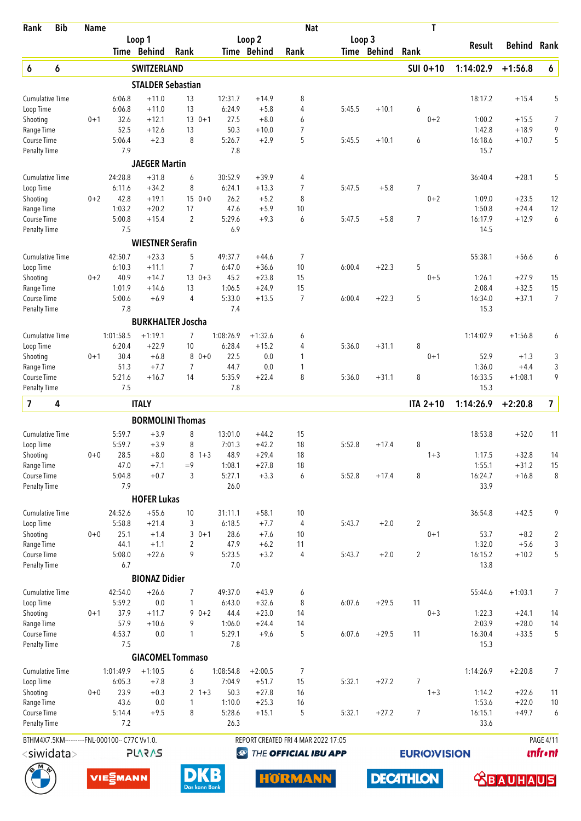| <b>Bib</b><br>Rank                            | <b>Name</b> |                   |                          |                          |                   |                    | <b>Nat</b>                          |        |             | T                   |                   |                    |                         |
|-----------------------------------------------|-------------|-------------------|--------------------------|--------------------------|-------------------|--------------------|-------------------------------------|--------|-------------|---------------------|-------------------|--------------------|-------------------------|
|                                               |             |                   | Loop 1                   |                          |                   | Loop <sub>2</sub>  |                                     | Loop 3 |             |                     | Result            | Behind             | Rank                    |
|                                               |             |                   | Time Behind              | Rank                     |                   | Time Behind        | Rank                                |        | Time Behind | Rank                |                   |                    |                         |
| 6<br>6                                        |             |                   | SWITZERLAND              |                          |                   |                    |                                     |        |             | SUI 0+10            | 1:14:02.9         | $+1:56.8$          | $\pmb{6}$               |
|                                               |             |                   | <b>STALDER Sebastian</b> |                          |                   |                    |                                     |        |             |                     |                   |                    |                         |
| <b>Cumulative Time</b>                        |             | 6:06.8            | $+11.0$                  | 13                       | 12:31.7           | $+14.9$            | 8                                   |        |             |                     | 18:17.2           | $+15.4$            | 5                       |
| Loop Time                                     |             | 6:06.8<br>32.6    | $+11.0$                  | 13                       | 6:24.9<br>27.5    | $+5.8$             | 4                                   | 5:45.5 | $+10.1$     | 6                   |                   |                    |                         |
| Shooting<br>Range Time                        | $0 + 1$     | 52.5              | $+12.1$<br>$+12.6$       | $13 \t 0+1$<br>13        | 50.3              | $+8.0$<br>$+10.0$  | 6<br>$\overline{7}$                 |        |             | $0 + 2$             | 1:00.2<br>1:42.8  | $+15.5$<br>$+18.9$ | $\overline{7}$<br>9     |
| Course Time                                   |             | 5:06.4            | $+2.3$                   | 8                        | 5:26.7            | $+2.9$             | 5                                   | 5:45.5 | $+10.1$     | 6                   | 16:18.6           | $+10.7$            | 5                       |
| <b>Penalty Time</b>                           |             | 7.9               |                          |                          | 7.8               |                    |                                     |        |             |                     | 15.7              |                    |                         |
|                                               |             |                   | <b>JAEGER Martin</b>     |                          |                   |                    |                                     |        |             |                     |                   |                    |                         |
| <b>Cumulative Time</b>                        |             | 24:28.8           | $+31.8$                  | 6                        | 30:52.9           | $+39.9$            | 4                                   |        |             |                     | 36:40.4           | $+28.1$            | 5                       |
| Loop Time                                     |             | 6:11.6            | $+34.2$                  | 8                        | 6:24.1            | $+13.3$            | $\overline{7}$                      | 5:47.5 | $+5.8$      | $\overline{7}$      |                   |                    |                         |
| Shooting                                      | $0 + 2$     | 42.8              | $+19.1$                  | $150+0$                  | 26.2              | $+5.2$             | 8                                   |        |             | $0 + 2$             | 1:09.0            | $+23.5$            | 12                      |
| Range Time                                    |             | 1:03.2<br>5:00.8  | $+20.2$                  | 17<br>$\overline{2}$     | 47.6<br>5:29.6    | $+5.9$<br>$+9.3$   | 10<br>6                             | 5:47.5 |             | $\overline{7}$      | 1:50.8<br>16:17.9 | $+24.4$<br>$+12.9$ | 12<br>6                 |
| Course Time<br><b>Penalty Time</b>            |             | 7.5               | $+15.4$                  |                          | 6.9               |                    |                                     |        | $+5.8$      |                     | 14.5              |                    |                         |
|                                               |             |                   | <b>WIESTNER Serafin</b>  |                          |                   |                    |                                     |        |             |                     |                   |                    |                         |
| <b>Cumulative Time</b>                        |             | 42:50.7           | $+23.3$                  | 5                        | 49:37.7           | $+44.6$            | 7                                   |        |             |                     | 55:38.1           | $+56.6$            | 6                       |
| Loop Time                                     |             | 6:10.3            | $+11.1$                  | $\overline{7}$           | 6:47.0            | $+36.6$            | 10                                  | 6:00.4 | $+22.3$     | 5                   |                   |                    |                         |
| Shooting                                      | $0 + 2$     | 40.9              | $+14.7$                  | $130+3$                  | 45.2              | $+23.8$            | 15                                  |        |             | $0 + 5$             | 1:26.1            | $+27.9$            | 15                      |
| Range Time                                    |             | 1:01.9            | $+14.6$                  | 13                       | 1:06.5            | $+24.9$            | 15                                  |        |             |                     | 2:08.4            | $+32.5$            | 15                      |
| Course Time                                   |             | 5:00.6            | $+6.9$                   | $\overline{4}$           | 5:33.0            | $+13.5$            | $\overline{7}$                      | 6:00.4 | $+22.3$     | 5                   | 16:34.0           | $+37.1$            | $\overline{7}$          |
| <b>Penalty Time</b>                           |             | 7.8               |                          |                          | 7.4               |                    |                                     |        |             |                     | 15.3              |                    |                         |
|                                               |             |                   |                          | <b>BURKHALTER Joscha</b> |                   |                    |                                     |        |             |                     |                   |                    |                         |
| <b>Cumulative Time</b>                        |             | 1:01:58.5         | $+1:19.1$                | 7                        | 1:08:26.9         | $+1:32.6$          | 6                                   |        |             |                     | 1:14:02.9         | $+1:56.8$          | 6                       |
| Loop Time<br>Shooting                         | $0 + 1$     | 6:20.4<br>30.4    | $+22.9$<br>$+6.8$        | 10<br>$80+0$             | 6:28.4<br>22.5    | $+15.2$<br>0.0     | 4<br>1                              | 5:36.0 | $+31.1$     | 8<br>$0 + 1$        | 52.9              | $+1.3$             | 3                       |
| Range Time                                    |             | 51.3              | $+7.7$                   | 7                        | 44.7              | 0.0                | 1                                   |        |             |                     | 1:36.0            | $+4.4$             | 3                       |
| Course Time                                   |             | 5:21.6            | $+16.7$                  | 14                       | 5:35.9            | $+22.4$            | 8                                   | 5:36.0 | $+31.1$     | 8                   | 16:33.5           | $+1:08.1$          | 9                       |
| <b>Penalty Time</b>                           |             | 7.5               |                          |                          | 7.8               |                    |                                     |        |             |                     | 15.3              |                    |                         |
| 7<br>4                                        |             |                   | <b>ITALY</b>             |                          |                   |                    |                                     |        |             | $ITA 2+10$          | 1:14:26.9         | $+2:20.8$          | $\overline{7}$          |
|                                               |             |                   |                          | <b>BORMOLINI Thomas</b>  |                   |                    |                                     |        |             |                     |                   |                    |                         |
| <b>Cumulative Time</b>                        |             | 5:59.7            | $+3.9$                   | 8                        | 13:01.0           | $+44.2$            | 15                                  |        |             |                     | 18:53.8           | $+52.0$            | 11                      |
| Loop Time                                     |             | 5:59.7            | $+3.9$                   | 8                        | 7:01.3            | $+42.2$            | 18                                  | 5:52.8 | $+17.4$     | 8                   |                   |                    |                         |
| Shooting                                      | $0 + 0$     | 28.5              | $+8.0$                   | 8<br>$1 + 3$             | 48.9              | $+29.4$            | 18                                  |        |             | $1 + 3$             | 1:17.5            | $+32.8$            | 14                      |
| Range Time                                    |             | 47.0              | $+7.1$                   | $=9$                     | 1:08.1            | $+27.8$            | 18                                  |        |             |                     | 1:55.1            | $+31.2$            | 15                      |
| Course Time                                   |             | 5:04.8<br>7.9     | $+0.7$                   | 3                        | 5:27.1<br>26.0    | $+3.3$             | 6                                   | 5:52.8 | $+17.4$     | 8                   | 16:24.7<br>33.9   | $+16.8$            | 8                       |
| <b>Penalty Time</b>                           |             |                   | <b>HOFER Lukas</b>       |                          |                   |                    |                                     |        |             |                     |                   |                    |                         |
|                                               |             |                   |                          |                          |                   |                    |                                     |        |             |                     |                   |                    |                         |
| <b>Cumulative Time</b><br>Loop Time           |             | 24:52.6<br>5:58.8 | $+55.6$<br>$+21.4$       | 10<br>3                  | 31:11.1<br>6:18.5 | $+58.1$<br>$+7.7$  | 10<br>4                             | 5:43.7 | $+2.0$      | $\overline{2}$      | 36:54.8           | $+42.5$            | 9                       |
| Shooting                                      | $0 + 0$     | 25.1              | $+1.4$                   | 3<br>$0 + 1$             | 28.6              | $+7.6$             | 10                                  |        |             | $0 + 1$             | 53.7              | $+8.2$             | $\overline{\mathbf{c}}$ |
| Range Time                                    |             | 44.1              | $+1.1$                   | $\overline{2}$           | 47.9              | $+6.2$             | 11                                  |        |             |                     | 1:32.0            | $+5.6$             | 3                       |
| Course Time                                   |             | 5:08.0            | $+22.6$                  | 9                        | 5:23.5            | $+3.2$             | 4                                   | 5:43.7 | $+2.0$      | $\overline{2}$      | 16:15.2           | $+10.2$            | 5                       |
| Penalty Time                                  |             | 6.7               |                          |                          | 7.0               |                    |                                     |        |             |                     | 13.8              |                    |                         |
|                                               |             |                   | <b>BIONAZ Didier</b>     |                          |                   |                    |                                     |        |             |                     |                   |                    |                         |
| <b>Cumulative Time</b>                        |             | 42:54.0           | $+26.6$                  | 7                        | 49:37.0           | $+43.9$            | 6                                   |        |             |                     | 55:44.6           | $+1:03.1$          | 7                       |
| Loop Time                                     |             | 5:59.2            | $0.0\,$                  | 1                        | 6:43.0            | $+32.6$            | 8                                   | 6:07.6 | $+29.5$     | 11                  |                   |                    |                         |
| Shooting                                      | $0 + 1$     | 37.9<br>57.9      | $+11.7$<br>$+10.6$       | $90+2$<br>9              | 44.4<br>1:06.0    | $+23.0$<br>$+24.4$ | 14<br>14                            |        |             | $0 + 3$             | 1:22.3<br>2:03.9  | $+24.1$<br>$+28.0$ | 14<br>14                |
| Range Time<br>Course Time                     |             | 4:53.7            | 0.0                      | $\mathbf{1}$             | 5:29.1            | $+9.6$             | 5                                   | 6:07.6 | $+29.5$     | 11                  | 16:30.4           | $+33.5$            | 5                       |
| <b>Penalty Time</b>                           |             | 7.5               |                          |                          | 7.8               |                    |                                     |        |             |                     | 15.3              |                    |                         |
|                                               |             |                   |                          | <b>GIACOMEL Tommaso</b>  |                   |                    |                                     |        |             |                     |                   |                    |                         |
| <b>Cumulative Time</b>                        |             | 1:01:49.9         | $+1:10.5$                | 6                        | 1:08:54.8         | $+2:00.5$          | 7                                   |        |             |                     | 1:14:26.9         | $+2:20.8$          | 7                       |
| Loop Time                                     |             | 6:05.3            | $+7.8$                   | 3                        | 7:04.9            | $+51.7$            | 15                                  | 5:32.1 | $+27.2$     | 7                   |                   |                    |                         |
| Shooting                                      | $0 + 0$     | 23.9              | $+0.3$                   | $2 + 3$                  | 50.3              | $+27.8$            | 16                                  |        |             | $1 + 3$             | 1:14.2            | $+22.6$            | 11                      |
| Range Time                                    |             | 43.6              | 0.0                      | $\mathbf{1}$             | 1:10.0            | $+25.3$            | 16                                  |        |             |                     | 1:53.6            | $+22.0$            | 10                      |
| Course Time                                   |             | 5:14.4<br>7.2     | $+9.5$                   | 8                        | 5:28.6<br>26.3    | $+15.1$            | 5                                   | 5:32.1 | $+27.2$     | $\overline{7}$      | 16:15.1<br>33.6   | $+49.7$            | 6                       |
| Penalty Time                                  |             |                   |                          |                          |                   |                    |                                     |        |             |                     |                   |                    |                         |
| BTHM4X7.5KM----------FNL-000100-- C77C Vv1.0. |             |                   |                          |                          |                   |                    | REPORT CREATED FRI 4 MAR 2022 17:05 |        |             |                     |                   |                    | <b>PAGE 4/11</b>        |
| <siwidata></siwidata>                         |             |                   | <b>PLARAS</b>            |                          | $\bigcirc$        |                    | THE OFFICIAL IBU APP                |        |             | <b>EURIO)VISION</b> |                   |                    | <b>unfr</b> •nt         |
|                                               |             | VIE EMANN         |                          | Das kann Bank            |                   |                    | <b>HORMANN</b>                      |        |             | <b>DECATHLON</b>    |                   | BAI                | UlS                     |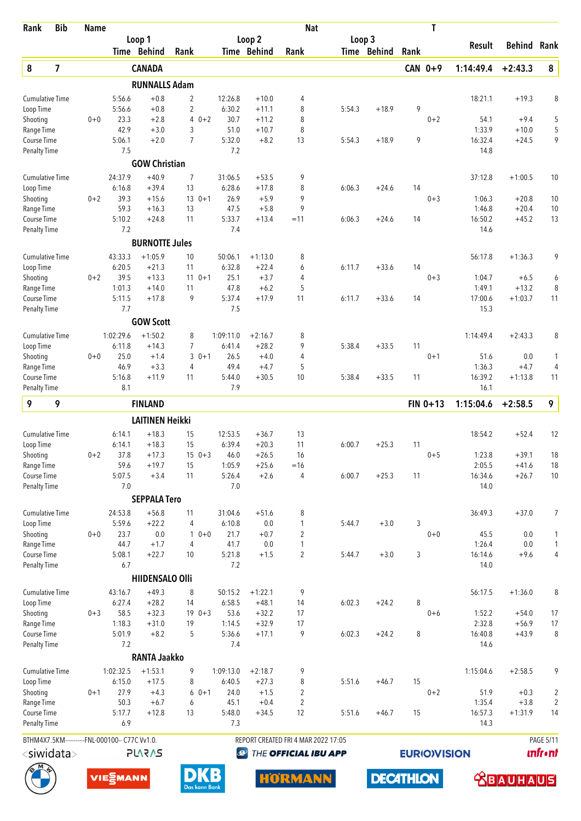| Rank                                | <b>Bib</b>              | <b>Name</b> |                                               |                        |                                  |               |                   |                      |                     | <b>Nat</b>                          |                  |      | T                   |                   |                      |                                  |
|-------------------------------------|-------------------------|-------------|-----------------------------------------------|------------------------|----------------------------------|---------------|-------------------|----------------------|---------------------|-------------------------------------|------------------|------|---------------------|-------------------|----------------------|----------------------------------|
|                                     |                         |             |                                               | Loop 1                 |                                  |               |                   | Loop <sub>2</sub>    |                     | Loop 3                              |                  |      |                     | Result            | Behind               | Rank                             |
|                                     |                         |             |                                               | Time Behind            | Rank                             |               |                   | Time Behind          | Rank                |                                     | Time Behind      | Rank |                     |                   |                      |                                  |
| $\pmb{8}$                           | $\overline{\mathbf{z}}$ |             |                                               | <b>CANADA</b>          |                                  |               |                   |                      |                     |                                     |                  |      | CAN 0+9             | 1:14:49.4         | $+2:43.3$            | ${\bf 8}$                        |
|                                     |                         |             |                                               | <b>RUNNALLS Adam</b>   |                                  |               |                   |                      |                     |                                     |                  |      |                     |                   |                      |                                  |
| <b>Cumulative Time</b>              |                         |             | 5:56.6                                        | $+0.8$<br>$+0.8$       | $\overline{2}$                   |               | 12:26.8<br>6:30.2 | $+10.0$              | 4                   |                                     | $+18.9$          | 9    |                     | 18:21.1           | $+19.3$              | 8                                |
| Loop Time<br>Shooting               |                         | $0 + 0$     | 5:56.6<br>23.3                                | $+2.8$                 | $\overline{2}$<br>$\overline{4}$ | $0 + 2$       | 30.7              | $+11.1$<br>$+11.2$   | 8<br>8              | 5:54.3                              |                  |      | $0 + 2$             | 54.1              | $+9.4$               | 5                                |
| Range Time                          |                         |             | 42.9                                          | $+3.0$                 | 3                                |               | 51.0              | $+10.7$              | 8                   |                                     |                  |      |                     | 1:33.9            | $+10.0$              | 5                                |
| Course Time                         |                         |             | 5:06.1                                        | $+2.0$                 | $\overline{7}$                   |               | 5:32.0            | $+8.2$               | 13                  | 5:54.3                              | $+18.9$          | 9    |                     | 16:32.4           | $+24.5$              | 9                                |
| <b>Penalty Time</b>                 |                         |             | 7.5                                           |                        |                                  |               | 7.2               |                      |                     |                                     |                  |      |                     | 14.8              |                      |                                  |
|                                     |                         |             |                                               | <b>GOW Christian</b>   |                                  |               |                   |                      |                     |                                     |                  |      |                     |                   |                      |                                  |
| <b>Cumulative Time</b>              |                         |             | 24:37.9                                       | $+40.9$                | 7                                |               | 31:06.5           | $+53.5$              | 9                   |                                     |                  |      |                     | 37:12.8           | $+1:00.5$            | 10                               |
| Loop Time<br>Shooting               |                         | $0 + 2$     | 6:16.8<br>39.3                                | $+39.4$<br>$+15.6$     | 13<br>$13 \t 0+1$                |               | 6:28.6<br>26.9    | $+17.8$<br>$+5.9$    | 8<br>9              | 6:06.3                              | $+24.6$          | 14   | $0 + 3$             | 1:06.3            | $+20.8$              | 10                               |
| Range Time                          |                         |             | 59.3                                          | $+16.3$                | 13                               |               | 47.5              | $+5.8$               | 9                   |                                     |                  |      |                     | 1:46.8            | $+20.4$              | 10                               |
| <b>Course Time</b>                  |                         |             | 5:10.2                                        | $+24.8$                | 11                               |               | 5:33.7            | $+13.4$              | $=11$               | 6:06.3                              | $+24.6$          | 14   |                     | 16:50.2           | $+45.2$              | 13                               |
| <b>Penalty Time</b>                 |                         |             | 7.2                                           |                        |                                  |               | 7.4               |                      |                     |                                     |                  |      |                     | 14.6              |                      |                                  |
|                                     |                         |             |                                               | <b>BURNOTTE Jules</b>  |                                  |               |                   |                      |                     |                                     |                  |      |                     |                   |                      |                                  |
| <b>Cumulative Time</b>              |                         |             | 43:33.3                                       | $+1:05.9$              | 10                               |               | 50:06.1           | $+1:13.0$            | 8                   |                                     |                  |      |                     | 56:17.8           | $+1:36.3$            | 9                                |
| Loop Time                           |                         |             | 6:20.5                                        | $+21.3$                | 11                               |               | 6:32.8            | $+22.4$              | 6                   | 6:11.7                              | $+33.6$          | 14   |                     |                   |                      |                                  |
| Shooting                            |                         | $0 + 2$     | 39.5                                          | $+13.3$                | $110+1$                          |               | 25.1              | $+3.7$               | 4                   |                                     |                  |      | $0 + 3$             | 1:04.7            | $+6.5$               | 6                                |
| Range Time<br><b>Course Time</b>    |                         |             | 1:01.3<br>5:11.5                              | $+14.0$<br>$+17.8$     | 11<br>9                          |               | 47.8<br>5:37.4    | $+6.2$<br>$+17.9$    | 5<br>11             | 6:11.7                              | $+33.6$          | 14   |                     | 1:49.1<br>17:00.6 | $+13.2$<br>$+1:03.7$ | 8<br>11                          |
| <b>Penalty Time</b>                 |                         |             | 7.7                                           |                        |                                  |               | 7.5               |                      |                     |                                     |                  |      |                     | 15.3              |                      |                                  |
|                                     |                         |             |                                               | <b>GOW Scott</b>       |                                  |               |                   |                      |                     |                                     |                  |      |                     |                   |                      |                                  |
| <b>Cumulative Time</b>              |                         |             | 1:02:29.6                                     | $+1:50.2$              | 8                                |               | 1:09:11.0         | $+2:16.7$            | 8                   |                                     |                  |      |                     | 1:14:49.4         | $+2:43.3$            | 8                                |
| Loop Time                           |                         |             | 6:11.8                                        | $+14.3$                | $\overline{7}$                   |               | 6:41.4            | $+28.2$              | 9                   | 5:38.4                              | $+33.5$          | 11   |                     |                   |                      |                                  |
| Shooting                            |                         | $0 + 0$     | 25.0                                          | $+1.4$                 | 3                                | $0 + 1$       | 26.5              | $+4.0$               | 4                   |                                     |                  |      | $0 + 1$             | 51.6              | 0.0                  | 1                                |
| Range Time                          |                         |             | 46.9                                          | $+3.3$                 | 4                                |               | 49.4              | $+4.7$               | 5                   |                                     |                  |      |                     | 1:36.3            | $+4.7$               | 4                                |
| Course Time                         |                         |             | 5:16.8                                        | $+11.9$                | 11                               |               | 5:44.0            | $+30.5$              | 10                  | 5:38.4                              | $+33.5$          | 11   |                     | 16:39.2           | $+1:13.8$            | 11                               |
| <b>Penalty Time</b>                 |                         |             | 8.1                                           |                        |                                  |               | 7.9               |                      |                     |                                     |                  |      |                     | 16.1              |                      |                                  |
| 9                                   | 9                       |             |                                               | <b>FINLAND</b>         |                                  |               |                   |                      |                     |                                     |                  |      | $FIN 0+13$          | 1:15:04.6         | $+2:58.5$            | 9                                |
|                                     |                         |             |                                               | <b>LAITINEN Heikki</b> |                                  |               |                   |                      |                     |                                     |                  |      |                     |                   |                      |                                  |
| <b>Cumulative Time</b>              |                         |             | 6:14.1                                        | $+18.3$                | 15                               |               | 12:53.5           | $+36.7$              | 13                  |                                     |                  |      |                     | 18:54.2           | $+52.4$              | 12                               |
| Loop Time                           |                         |             | 6:14.1                                        | $+18.3$                | 15                               |               | 6:39.4            | $+20.3$              | 11                  | 6:00.7                              | $+25.3$          | 11   |                     |                   |                      |                                  |
| Shooting                            |                         | $0 + 2$     | 37.8                                          | $+17.3$                | $15 \t 0+3$<br>15                |               | 46.0              | $+26.5$<br>$+25.6$   | 16<br>$=16$         |                                     |                  |      | $0 + 5$             | 1:23.8            | $+39.1$              | 18                               |
| Range Time<br>Course Time           |                         |             | 59.6<br>5:07.5                                | $+19.7$<br>$+3.4$      | 11                               |               | 1:05.9<br>5:26.4  | $+2.6$               | 4                   | 6:00.7                              | $+25.3$          | 11   |                     | 2:05.5<br>16:34.6 | $+41.6$<br>$+26.7$   | 18<br>10                         |
| <b>Penalty Time</b>                 |                         |             | 7.0                                           |                        |                                  |               | 7.0               |                      |                     |                                     |                  |      |                     | 14.0              |                      |                                  |
|                                     |                         |             |                                               | <b>SEPPALA Tero</b>    |                                  |               |                   |                      |                     |                                     |                  |      |                     |                   |                      |                                  |
| <b>Cumulative Time</b>              |                         |             | 24:53.8                                       | $+56.8$                | 11                               |               | 31:04.6           | $+51.6$              | 8                   |                                     |                  |      |                     | 36:49.3           | $+37.0$              | 7                                |
| Loop Time                           |                         |             | 5:59.6                                        | $+22.2$                | 4                                |               | 6:10.8            | 0.0                  | $\mathbf{1}$        | 5:44.7                              | $+3.0$           | 3    |                     |                   |                      |                                  |
| Shooting                            |                         | $0 + 0$     | 23.7                                          | 0.0                    | $\mathbf{1}$                     | $0 + 0$       | 21.7              | $+0.7$               | $\overline{c}$      |                                     |                  |      | $0 + 0$             | 45.5              | 0.0                  | 1                                |
| Range Time                          |                         |             | 44.7                                          | $+1.7$                 | $\overline{4}$                   |               | 41.7              | 0.0                  | 1                   |                                     |                  |      |                     | 1:26.4            | $0.0\,$              | $\mathbf{1}$                     |
| Course Time                         |                         |             | 5:08.1<br>6.7                                 | $+22.7$                | 10                               |               | 5:21.8<br>7.2     | $+1.5$               | $\overline{2}$      | 5:44.7                              | $+3.0$           | 3    |                     | 16:14.6<br>14.0   | $+9.6$               | $\sqrt{4}$                       |
| <b>Penalty Time</b>                 |                         |             |                                               | <b>HIIDENSALO Olli</b> |                                  |               |                   |                      |                     |                                     |                  |      |                     |                   |                      |                                  |
|                                     |                         |             |                                               |                        |                                  |               |                   |                      |                     |                                     |                  |      |                     |                   |                      |                                  |
| <b>Cumulative Time</b><br>Loop Time |                         |             | 43:16.7<br>6:27.4                             | $+49.3$<br>$+28.2$     | 8<br>14                          |               | 50:15.2<br>6:58.5 | $+1:22.1$<br>$+48.1$ | 9<br>14             | 6:02.3                              | $+24.2$          | 8    |                     | 56:17.5           | $+1:36.0$            | 8                                |
| Shooting                            |                         | $0 + 3$     | 58.5                                          | $+32.3$                | $19 \t 0+3$                      |               | 53.6              | $+32.2$              | 17                  |                                     |                  |      | $0 + 6$             | 1:52.2            | $+54.0$              | 17                               |
| Range Time                          |                         |             | 1:18.3                                        | $+31.0$                | 19                               |               | 1:14.5            | $+32.9$              | 17                  |                                     |                  |      |                     | 2:32.8            | $+56.9$              | 17                               |
| Course Time                         |                         |             | 5:01.9                                        | $+8.2$                 | 5                                |               | 5:36.6            | $+17.1$              | 9                   | 6:02.3                              | $+24.2$          | 8    |                     | 16:40.8           | $+43.9$              | 8                                |
| <b>Penalty Time</b>                 |                         |             | 7.2                                           |                        |                                  |               | 7.4               |                      |                     |                                     |                  |      |                     | 14.6              |                      |                                  |
|                                     |                         |             |                                               | <b>RANTA Jaakko</b>    |                                  |               |                   |                      |                     |                                     |                  |      |                     |                   |                      |                                  |
| <b>Cumulative Time</b>              |                         |             | 1:02:32.5                                     | $+1:53.1$              | 9                                |               | 1:09:13.0         | $+2:18.7$            | 9                   |                                     |                  |      |                     | 1:15:04.6         | $+2:58.5$            | 9                                |
| Loop Time                           |                         |             | 6:15.0                                        | $+17.5$                | 8                                |               | 6:40.5            | $+27.3$              | 8                   | 5:51.6                              | $+46.7$          | 15   |                     |                   |                      |                                  |
| Shooting<br>Range Time              |                         | $0 + 1$     | 27.9<br>50.3                                  | $+4.3$<br>$+6.7$       | 6                                | $60+1$        | 24.0<br>45.1      | $+1.5$<br>$+0.4$     | 2<br>$\overline{2}$ |                                     |                  |      | $0 + 2$             | 51.9<br>1:35.4    | $+0.3$<br>$+3.8$     | $\overline{c}$<br>$\overline{2}$ |
| Course Time                         |                         |             | 5:17.7                                        | $+12.8$                | 13                               |               | 5:48.0            | $+34.5$              | 12                  | 5:51.6                              | $+46.7$          | 15   |                     | 16:57.3           | $+1:31.9$            | 14                               |
| Penalty Time                        |                         |             | 6.9                                           |                        |                                  |               | 7.3               |                      |                     |                                     |                  |      |                     | 14.3              |                      |                                  |
|                                     |                         |             | BTHM4X7.5KM----------FNL-000100-- C77C Vv1.0. |                        |                                  |               |                   |                      |                     | REPORT CREATED FRI 4 MAR 2022 17:05 |                  |      |                     |                   |                      | <b>PAGE 5/11</b>                 |
| <siwidata></siwidata>               |                         |             |                                               | <b>PLARAS</b>          |                                  |               | Ø                 |                      |                     | THE OFFICIAL IBU APP                |                  |      | <b>EURIO)VISION</b> |                   |                      | <b>unfront</b>                   |
|                                     |                         |             |                                               |                        |                                  |               |                   |                      |                     |                                     |                  |      |                     |                   |                      |                                  |
|                                     |                         |             | VIE EMANN                                     |                        |                                  | Das kann Bank |                   |                      | <b>HORMANN</b>      |                                     | <b>DECATHLON</b> |      |                     |                   | <b> SBAUHAUS</b>     |                                  |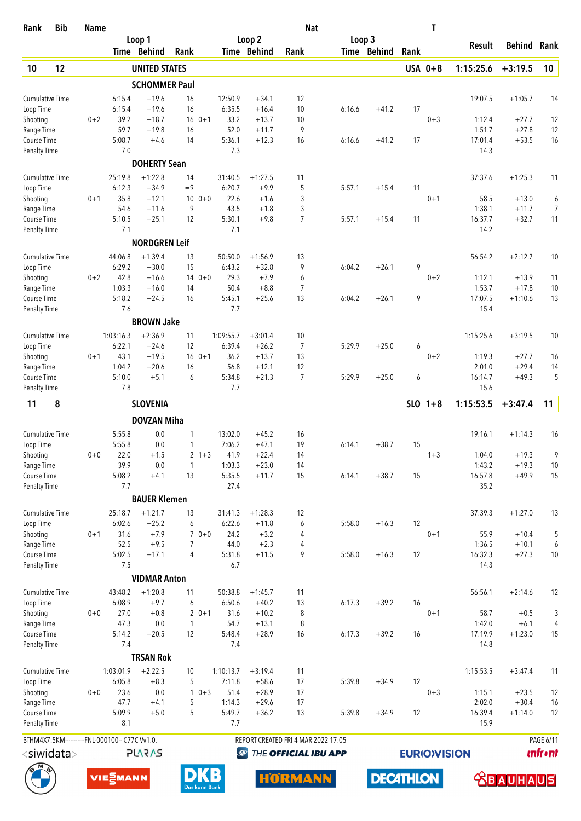| <b>Bib</b><br>Rank                            | <b>Name</b> |                  |                      |                |               |                   |                    | <b>Nat</b>                          |        |                  |      | T                   |                   |                    |                |
|-----------------------------------------------|-------------|------------------|----------------------|----------------|---------------|-------------------|--------------------|-------------------------------------|--------|------------------|------|---------------------|-------------------|--------------------|----------------|
|                                               |             |                  | Loop 1               |                |               |                   | Loop 2             |                                     | Loop 3 |                  |      |                     | Result            | Behind             | Rank           |
|                                               |             |                  | Time Behind          | Rank           |               |                   | Time Behind        | Rank                                |        | Time Behind      | Rank |                     |                   |                    |                |
| 10<br>12                                      |             |                  | <b>UNITED STATES</b> |                |               |                   |                    |                                     |        |                  |      | USA 0+8             | 1:15:25.6         | $+3:19.5$          | 10             |
|                                               |             |                  | <b>SCHOMMER Paul</b> |                |               |                   |                    |                                     |        |                  |      |                     |                   |                    |                |
| <b>Cumulative Time</b>                        |             | 6:15.4<br>6:15.4 | $+19.6$<br>$+19.6$   | 16<br>16       |               | 12:50.9<br>6:35.5 | $+34.1$            | 12<br>10                            | 6:16.6 | $+41.2$          | 17   |                     | 19:07.5           | $+1:05.7$          | 14             |
| Loop Time<br>Shooting                         | $0 + 2$     | 39.2             | $+18.7$              |                | $16 \t 0+1$   | 33.2              | $+16.4$<br>$+13.7$ | 10                                  |        |                  |      | $0 + 3$             | 1:12.4            | $+27.7$            | 12             |
| Range Time                                    |             | 59.7             | $+19.8$              | 16             |               | 52.0              | $+11.7$            | 9                                   |        |                  |      |                     | 1:51.7            | $+27.8$            | 12             |
| Course Time                                   |             | 5:08.7           | $+4.6$               | 14             |               | 5:36.1            | $+12.3$            | 16                                  | 6:16.6 | $+41.2$          | 17   |                     | 17:01.4           | $+53.5$            | 16             |
| Penalty Time                                  |             | 7.0              |                      |                |               | 7.3               |                    |                                     |        |                  |      |                     | 14.3              |                    |                |
|                                               |             |                  | <b>DOHERTY Sean</b>  |                |               |                   |                    |                                     |        |                  |      |                     |                   |                    |                |
| <b>Cumulative Time</b>                        |             | 25:19.8          | $+1:22.8$            | 14             |               | 31:40.5           | $+1:27.5$          | 11                                  |        |                  |      |                     | 37:37.6           | $+1:25.3$          | 11             |
| Loop Time                                     |             | 6:12.3           | $+34.9$              | $=9$           |               | 6:20.7            | $+9.9$             | 5                                   | 5:57.1 | $+15.4$          | 11   |                     |                   |                    |                |
| Shooting                                      | $0 + 1$     | 35.8<br>54.6     | $+12.1$              | 9              | $100 + 0$     | 22.6<br>43.5      | $+1.6$             | 3                                   |        |                  |      | $0 + 1$             | 58.5              | $+13.0$            | 6              |
| Range Time<br>Course Time                     |             | 5:10.5           | $+11.6$<br>$+25.1$   | 12             |               | 5:30.1            | $+1.8$<br>$+9.8$   | 3<br>$\overline{7}$                 | 5:57.1 | $+15.4$          | 11   |                     | 1:38.1<br>16:37.7 | $+11.7$<br>$+32.7$ | 7<br>11        |
| <b>Penalty Time</b>                           |             | 7.1              |                      |                |               | 7.1               |                    |                                     |        |                  |      |                     | 14.2              |                    |                |
|                                               |             |                  | <b>NORDGREN Leif</b> |                |               |                   |                    |                                     |        |                  |      |                     |                   |                    |                |
| <b>Cumulative Time</b>                        |             | 44:06.8          | $+1:39.4$            | 13             |               | 50:50.0           | $+1:56.9$          | 13                                  |        |                  |      |                     | 56:54.2           | $+2:12.7$          | 10             |
| Loop Time                                     |             | 6:29.2           | $+30.0$              | 15             |               | 6:43.2            | $+32.8$            | 9                                   | 6:04.2 | $+26.1$          | 9    |                     |                   |                    |                |
| Shooting                                      | $0 + 2$     | 42.8             | $+16.6$              |                | $140+0$       | 29.3              | $+7.9$             | 6                                   |        |                  |      | $0 + 2$             | 1:12.1            | $+13.9$            | 11             |
| Range Time                                    |             | 1:03.3           | $+16.0$              | 14             |               | 50.4              | $+8.8$             | 7                                   |        |                  |      |                     | 1:53.7            | $+17.8$            | 10             |
| Course Time                                   |             | 5:18.2           | $+24.5$              | 16             |               | 5:45.1            | $+25.6$            | 13                                  | 6:04.2 | $+26.1$          | 9    |                     | 17:07.5           | $+1:10.6$          | 13             |
| <b>Penalty Time</b>                           |             | 7.6              |                      |                |               | 7.7               |                    |                                     |        |                  |      |                     | 15.4              |                    |                |
|                                               |             |                  | <b>BROWN Jake</b>    |                |               |                   |                    |                                     |        |                  |      |                     |                   |                    |                |
| <b>Cumulative Time</b>                        |             | 1:03:16.3        | $+2:36.9$            | 11             |               | 1:09:55.7         | $+3:01.4$          | 10                                  |        |                  |      |                     | 1:15:25.6         | $+3:19.5$          | 10             |
| Loop Time                                     |             | 6:22.1           | $+24.6$              | 12             |               | 6:39.4            | $+26.2$            | 7                                   | 5:29.9 | $+25.0$          | 6    |                     |                   |                    |                |
| Shooting                                      | $0 + 1$     | 43.1             | $+19.5$              |                | $16 \t 0+1$   | 36.2              | $+13.7$            | 13                                  |        |                  |      | $0 + 2$             | 1:19.3            | $+27.7$            | 16             |
| Range Time<br>Course Time                     |             | 1:04.2<br>5:10.0 | $+20.6$<br>$+5.1$    | 16<br>6        |               | 56.8<br>5:34.8    | $+12.1$<br>$+21.3$ | 12<br>$\overline{7}$                | 5:29.9 | $+25.0$          | 6    |                     | 2:01.0<br>16:14.7 | $+29.4$<br>$+49.3$ | 14<br>5        |
| <b>Penalty Time</b>                           |             | 7.8              |                      |                |               | 7.7               |                    |                                     |        |                  |      |                     | 15.6              |                    |                |
|                                               |             |                  |                      |                |               |                   |                    |                                     |        |                  |      | $SLO$ 1+8           |                   |                    |                |
| 8<br>11                                       |             |                  | <b>SLOVENIA</b>      |                |               |                   |                    |                                     |        |                  |      |                     | 1:15:53.5         | $+3:47.4$          | 11             |
|                                               |             |                  | <b>DOVZAN Miha</b>   |                |               |                   |                    |                                     |        |                  |      |                     |                   |                    |                |
| <b>Cumulative Time</b>                        |             | 5:55.8           | 0.0                  | 1              |               | 13:02.0           | $+45.2$            | 16                                  |        |                  |      |                     | 19:16.1           | $+1:14.3$          | 16             |
| Loop Time                                     |             | 5:55.8           | 0.0                  | 1              |               | 7:06.2            | $+47.1$            | 19                                  | 6:14.1 | $+38.7$          | 15   |                     |                   |                    |                |
| Shooting<br>Range Time                        | $0 + 0$     | 22.0<br>39.9     | $+1.5$<br>$0.0\,$    | $\mathbf{1}$   | $2 \t1+3$     | 41.9<br>1:03.3    | $+22.4$<br>$+23.0$ | 14<br>14                            |        |                  |      | $1 + 3$             | 1:04.0<br>1:43.2  | $+19.3$<br>$+19.3$ | 9<br>10        |
| Course Time                                   |             | 5:08.2           | $+4.1$               | 13             |               | 5:35.5            | $+11.7$            | 15                                  | 6:14.1 | $+38.7$          | 15   |                     | 16:57.8           | $+49.9$            | 15             |
| <b>Penalty Time</b>                           |             | 7.7              |                      |                |               | 27.4              |                    |                                     |        |                  |      |                     | 35.2              |                    |                |
|                                               |             |                  | <b>BAUER Klemen</b>  |                |               |                   |                    |                                     |        |                  |      |                     |                   |                    |                |
| <b>Cumulative Time</b>                        |             | 25:18.7          | $+1:21.7$            | 13             |               | 31:41.3           | $+1:28.3$          | 12                                  |        |                  |      |                     | 37:39.3           | $+1:27.0$          | 13             |
| Loop Time                                     |             | 6:02.6           | $+25.2$              | 6              |               | 6:22.6            | $+11.8$            | 6                                   | 5:58.0 | $+16.3$          | 12   |                     |                   |                    |                |
| Shooting                                      | $0 + 1$     | 31.6             | $+7.9$               |                | $70+0$        | 24.2              | $+3.2$             | 4                                   |        |                  |      | $0 + 1$             | 55.9              | $+10.4$            | 5              |
| Range Time                                    |             | 52.5             | $+9.5$               | $\overline{7}$ |               | 44.0              | $+2.3$             | 4                                   |        |                  |      |                     | 1:36.5            | $+10.1$            | 6              |
| Course Time                                   |             | 5:02.5           | $+17.1$              | 4              |               | 5:31.8            | $+11.5$            | 9                                   | 5:58.0 | $+16.3$          | 12   |                     | 16:32.3           | $+27.3$            | 10             |
| <b>Penalty Time</b>                           |             | 7.5              |                      |                |               | 6.7               |                    |                                     |        |                  |      |                     | 14.3              |                    |                |
|                                               |             |                  | <b>VIDMAR Anton</b>  |                |               |                   |                    |                                     |        |                  |      |                     |                   |                    |                |
| <b>Cumulative Time</b>                        |             | 43:48.2          | $+1:20.8$            | 11             |               | 50:38.8           | $+1:45.7$          | 11                                  |        |                  |      |                     | 56:56.1           | $+2:14.6$          | 12             |
| Loop Time                                     |             | 6:08.9           | $+9.7$               | 6              |               | 6:50.6            | $+40.2$            | 13                                  | 6:17.3 | $+39.2$          | 16   |                     |                   |                    |                |
| Shooting                                      | $0 + 0$     | 27.0<br>47.3     | $+0.8$<br>$0.0\,$    | 2<br>1         | $0 + 1$       | 31.6<br>54.7      | $+10.2$<br>$+13.1$ | 8<br>8                              |        |                  |      | $0 + 1$             | 58.7<br>1:42.0    | $+0.5$<br>$+6.1$   | 3<br>4         |
| Range Time<br>Course Time                     |             | 5:14.2           | $+20.5$              | 12             |               | 5:48.4            | $+28.9$            | 16                                  | 6:17.3 | $+39.2$          | 16   |                     | 17:19.9           | $+1:23.0$          | 15             |
| <b>Penalty Time</b>                           |             | 7.4              |                      |                |               | 7.4               |                    |                                     |        |                  |      |                     | 14.8              |                    |                |
|                                               |             |                  | <b>TRSAN Rok</b>     |                |               |                   |                    |                                     |        |                  |      |                     |                   |                    |                |
| <b>Cumulative Time</b>                        |             | 1:03:01.9        | $+2:22.5$            | 10             |               | 1:10:13.7         | $+3:19.4$          | 11                                  |        |                  |      |                     | 1:15:53.5         | $+3:47.4$          | 11             |
| Loop Time                                     |             | 6:05.8           | $+8.3$               | 5              |               | 7:11.8            | $+58.6$            | 17                                  | 5:39.8 | $+34.9$          | 12   |                     |                   |                    |                |
| Shooting                                      | $0+0$       | 23.6             | $0.0\,$              | $\mathbf{1}$   | $0 + 3$       | 51.4              | $+28.9$            | 17                                  |        |                  |      | $0 + 3$             | 1:15.1            | $+23.5$            | 12             |
| Range Time                                    |             | 47.7             | $+4.1$               | 5              |               | 1:14.3            | $+29.6$            | 17                                  |        |                  |      |                     | 2:02.0            | $+30.4$            | 16             |
| Course Time                                   |             | 5:09.9           | $+5.0$               | 5              |               | 5:49.7            | $+36.2$            | 13                                  | 5:39.8 | $+34.9$          | 12   |                     | 16:39.4           | $+1:14.0$          | 12             |
| <b>Penalty Time</b>                           |             | 8.1              |                      |                |               | 7.7               |                    |                                     |        |                  |      |                     | 15.9              |                    |                |
| BTHM4X7.5KM----------FNL-000100-- C77C Vv1.0. |             |                  |                      |                |               |                   |                    | REPORT CREATED FRI 4 MAR 2022 17:05 |        |                  |      |                     |                   |                    | PAGE 6/11      |
| $<$ siwidata $>$                              |             |                  | <b>PLARAS</b>        |                |               | $\bigcirc$        |                    | THE OFFICIAL IBU APP                |        |                  |      | <b>EURIO)VISION</b> |                   |                    | <b>unfr•nt</b> |
|                                               |             | VIE EMANN        |                      |                |               |                   |                    | <b>HORMANN</b>                      |        | <b>DECATHLON</b> |      |                     |                   |                    | UlS            |
|                                               |             |                  |                      |                | Das kann Bank |                   |                    |                                     |        |                  |      |                     |                   |                    |                |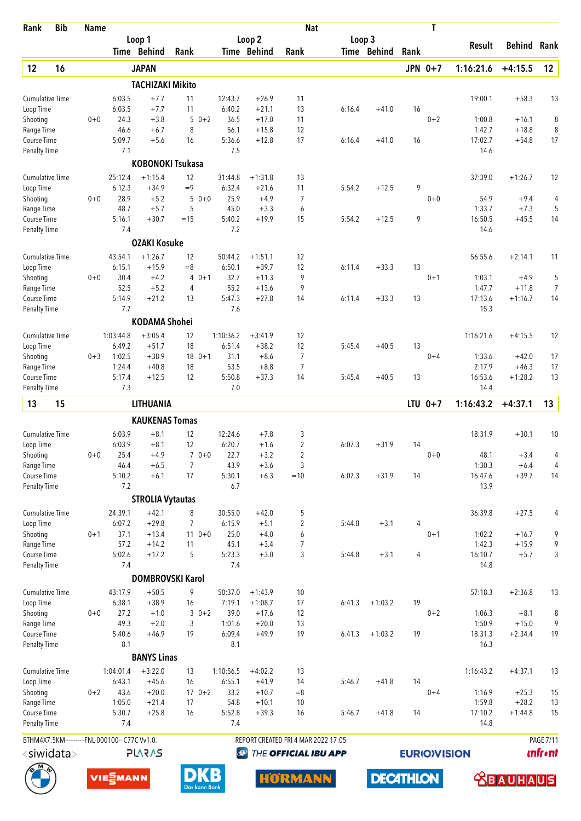| <b>Bib</b><br>Rank                 | <b>Name</b> |                             |                         |                         |                   |                    | <b>Nat</b>                          |        |                  |                | T                   |                   |                      |                  |
|------------------------------------|-------------|-----------------------------|-------------------------|-------------------------|-------------------|--------------------|-------------------------------------|--------|------------------|----------------|---------------------|-------------------|----------------------|------------------|
|                                    |             |                             | Loop 1                  |                         |                   | Loop 2             |                                     | Loop 3 |                  |                |                     | Result            | Behind               | Rank             |
|                                    |             |                             | Time Behind             | Rank                    |                   | Time Behind        | Rank                                |        | Time Behind      | Rank           |                     |                   |                      |                  |
| 12<br>16                           |             |                             | <b>JAPAN</b>            |                         |                   |                    |                                     |        |                  |                | JPN 0+7             | 1:16:21.6         | $+4:15.5$            | 12               |
|                                    |             |                             | <b>TACHIZAKI Mikito</b> |                         |                   |                    |                                     |        |                  |                |                     |                   |                      |                  |
| <b>Cumulative Time</b>             |             | 6:03.5<br>6:03.5            | $+7.7$<br>$+7.7$        | 11<br>11                | 12:43.7           | $+26.9$            | 11<br>13                            |        | $+41.0$          | 16             |                     | 19:00.1           | $+58.3$              | 13               |
| Loop Time<br>Shooting              | $0 + 0$     | 24.3                        | $+3.8$                  | $0 + 2$<br>5            | 6:40.2<br>36.5    | $+21.1$<br>$+17.0$ | 11                                  | 6:16.4 |                  |                | $0 + 2$             | 1:00.8            | $+16.1$              | 8                |
| Range Time                         |             | 46.6                        | $+6.7$                  | 8                       | 56.1              | $+15.8$            | 12                                  |        |                  |                |                     | 1:42.7            | $+18.8$              | 8                |
| Course Time                        |             | 5:09.7                      | $+5.6$                  | 16                      | 5:36.6            | $+12.8$            | 17                                  | 6:16.4 | $+41.0$          | 16             |                     | 17:02.7           | $+54.8$              | 17               |
| <b>Penalty Time</b>                |             | 7.1                         |                         |                         | 7.5               |                    |                                     |        |                  |                |                     | 14.6              |                      |                  |
|                                    |             |                             |                         | <b>KOBONOKI Tsukasa</b> |                   |                    |                                     |        |                  |                |                     |                   |                      |                  |
| <b>Cumulative Time</b>             |             | 25:12.4                     | $+1:15.4$               | 12                      | 31:44.8           | $+1:31.8$          | 13                                  |        |                  |                |                     | 37:39.0           | $+1:26.7$            | 12               |
| Loop Time                          |             | 6:12.3                      | $+34.9$                 | $=9$                    | 6:32.4            | $+21.6$            | 11                                  | 5:54.2 | $+12.5$          | 9              |                     |                   |                      |                  |
| Shooting<br>Range Time             | $0 + 0$     | 28.9<br>48.7                | $+5.2$<br>$+5.7$        | 5<br>$0 + 0$<br>5       | 25.9<br>45.0      | $+4.9$<br>$+3.3$   | $\overline{7}$<br>6                 |        |                  |                | $0 + 0$             | 54.9<br>1:33.7    | $+9.4$<br>$+7.3$     | 4<br>5           |
| Course Time                        |             | 5:16.1                      | $+30.7$                 | $=15$                   | 5:40.2            | $+19.9$            | 15                                  | 5:54.2 | $+12.5$          | 9              |                     | 16:50.5           | $+45.5$              | 14               |
| <b>Penalty Time</b>                |             | 7.4                         |                         |                         | 7.2               |                    |                                     |        |                  |                |                     | 14.6              |                      |                  |
|                                    |             |                             | <b>OZAKI Kosuke</b>     |                         |                   |                    |                                     |        |                  |                |                     |                   |                      |                  |
| <b>Cumulative Time</b>             |             | 43:54.1                     | $+1:26.7$               | 12                      | 50:44.2           | $+1:51.1$          | 12                                  |        |                  |                |                     | 56:55.6           | $+2:14.1$            | 11               |
| Loop Time                          |             | 6:15.1                      | $+15.9$                 | $=8$                    | 6:50.1            | $+39.7$            | 12                                  | 6:11.4 | $+33.3$          | 13             |                     |                   |                      |                  |
| Shooting                           | $0 + 0$     | 30.4                        | $+4.2$                  | $0 + 1$<br>4            | 32.7              | $+11.3$            | 9                                   |        |                  |                | $0 + 1$             | 1:03.1            | $+4.9$               | 5                |
| Range Time<br>Course Time          |             | 52.5<br>5:14.9              | $+5.2$<br>$+21.2$       | $\overline{4}$<br>13    | 55.2<br>5:47.3    | $+13.6$<br>$+27.8$ | 9<br>14                             | 6:11.4 | $+33.3$          | 13             |                     | 1:47.7<br>17:13.6 | $+11.8$<br>$+1:16.7$ | 7<br>14          |
| <b>Penalty Time</b>                |             | 7.7                         |                         |                         | 7.6               |                    |                                     |        |                  |                |                     | 15.3              |                      |                  |
|                                    |             |                             | <b>KODAMA Shohei</b>    |                         |                   |                    |                                     |        |                  |                |                     |                   |                      |                  |
| <b>Cumulative Time</b>             |             | 1:03:44.8                   | $+3:05.4$               | 12                      | 1:10:36.2         | $+3:41.9$          | 12                                  |        |                  |                |                     | 1:16:21.6         | $+4:15.5$            | 12               |
| Loop Time                          |             | 6:49.2                      | $+51.7$                 | 18                      | 6:51.4            | $+38.2$            | 12                                  | 5:45.4 | $+40.5$          | 13             |                     |                   |                      |                  |
| Shooting                           | $0 + 3$     | 1:02.5                      | $+38.9$                 | $180+1$                 | 31.1              | $+8.6$             | $\overline{7}$                      |        |                  |                | $0 + 4$             | 1:33.6            | $+42.0$              | 17               |
| Range Time                         |             | 1:24.4                      | $+40.8$                 | 18                      | 53.5              | $+8.8$             | $\overline{7}$                      |        |                  |                |                     | 2:17.9            | $+46.3$              | 17               |
| Course Time<br><b>Penalty Time</b> |             | 5:17.4<br>7.3               | $+12.5$                 | 12                      | 5:50.8<br>7.0     | $+37.3$            | 14                                  | 5:45.4 | $+40.5$          | 13             |                     | 16:53.6<br>14.4   | $+1:28.2$            | 13               |
| 15<br>13                           |             |                             | LITHUANIA               |                         |                   |                    |                                     |        |                  |                | $LTU$ 0+7           | 1:16:43.2         | $+4:37.1$            | 13               |
|                                    |             |                             |                         |                         |                   |                    |                                     |        |                  |                |                     |                   |                      |                  |
|                                    |             |                             | <b>KAUKENAS Tomas</b>   |                         |                   |                    |                                     |        |                  |                |                     |                   |                      |                  |
| <b>Cumulative Time</b>             |             | 6:03.9<br>6:03.9            | $+8.1$<br>$+8.1$        | 12<br>12                | 12:24.6<br>6:20.7 | $+7.8$             | 3<br>2                              | 6:07.3 | $+31.9$          | 14             |                     | 18:31.9           | $+30.1$              | 10               |
| Loop Time<br>Shooting              | $0 + 0$     | 25.4                        | $+4.9$                  | $70+0$                  | 22.7              | $+1.6$<br>$+3.2$   | 2                                   |        |                  |                | $0 + 0$             | 48.1              | $+3.4$               | 4                |
| Range Time                         |             | 46.4                        | $+6.5$                  | 7                       | 43.9              | $+3.6$             | 3                                   |        |                  |                |                     | 1:30.3            | $+6.4$               | 4                |
| Course Time                        |             | 5:10.2                      | $+6.1$                  | 17                      | 5:30.1            | $+6.3$             | $=10$                               | 6:07.3 | $+31.9$          | 14             |                     | 16:47.6           | $+39.7$              | 14               |
| <b>Penalty Time</b>                |             | 7.2                         |                         |                         | 6.7               |                    |                                     |        |                  |                |                     | 13.9              |                      |                  |
|                                    |             |                             | <b>STROLIA Vytautas</b> |                         |                   |                    |                                     |        |                  |                |                     |                   |                      |                  |
| <b>Cumulative Time</b>             |             | 24:39.1                     | $+42.1$                 | 8                       | 30:55.0           | $+42.0$            | 5                                   |        |                  |                |                     | 36:39.8           | $+27.5$              | 4                |
| Loop Time                          |             | 6:07.2                      | $+29.8$                 | $\overline{7}$          | 6:15.9            | $+5.1$             | $\overline{c}$                      | 5:44.8 | $+3.1$           | 4              |                     |                   |                      |                  |
| Shooting<br>Range Time             | $0 + 1$     | 37.1<br>57.2                | $+13.4$<br>$+14.2$      | $110+0$<br>11           | 25.0<br>45.1      | $+4.0$<br>$+3.4$   | 6<br>$\overline{7}$                 |        |                  |                | $0 + 1$             | 1:02.2<br>1:42.3  | $+16.7$<br>$+15.9$   | 9<br>9           |
| Course Time                        |             | 5:02.6                      | $+17.2$                 | 5                       | 5:23.3            | $+3.0$             | 3                                   | 5:44.8 | $+3.1$           | $\overline{4}$ |                     | 16:10.7           | $+5.7$               | 3                |
| <b>Penalty Time</b>                |             | 7.4                         |                         |                         | 7.4               |                    |                                     |        |                  |                |                     | 14.8              |                      |                  |
|                                    |             |                             |                         | <b>DOMBROVSKI Karol</b> |                   |                    |                                     |        |                  |                |                     |                   |                      |                  |
| <b>Cumulative Time</b>             |             | 43:17.9                     | $+50.5$                 | 9                       | 50:37.0           | $+1:43.9$          | 10                                  |        |                  |                |                     | 57:18.3           | $+2:36.8$            | 13               |
| Loop Time                          |             | 6:38.1                      | $+38.9$                 | 16                      | 7:19.1            | $+1:08.7$          | 17                                  | 6:41.3 | $+1:03.2$        | 19             |                     |                   |                      |                  |
| Shooting                           | $0 + 0$     | 27.2                        | $+1.0$                  | $30+2$                  | 39.0              | $+17.6$            | 12                                  |        |                  |                | $0 + 2$             | 1:06.3            | $+8.1$               | 8                |
| Range Time                         |             | 49.3                        | $+2.0$                  | 3                       | 1:01.6            | $+20.0$            | 13                                  |        |                  |                |                     | 1:50.9            | $+15.0$              | 9                |
| Course Time<br><b>Penalty Time</b> |             | 5:40.6<br>8.1               | $+46.9$                 | 19                      | 6:09.4<br>8.1     | $+49.9$            | 19                                  | 6:41.3 | $+1:03.2$        | 19             |                     | 18:31.3<br>16.3   | $+2:34.4$            | 19               |
|                                    |             |                             | <b>BANYS Linas</b>      |                         |                   |                    |                                     |        |                  |                |                     |                   |                      |                  |
| <b>Cumulative Time</b>             |             | 1:04:01.4                   | $+3:22.0$               | 13                      | 1:10:56.5         | $+4:02.2$          | 13                                  |        |                  |                |                     | 1:16:43.2         | $+4:37.1$            | 13               |
| Loop Time                          |             | 6:43.1                      | $+45.6$                 | 16                      | 6:55.1            | $+41.9$            | 14                                  | 5:46.7 | $+41.8$          | 14             |                     |                   |                      |                  |
| Shooting                           | $0 + 2$     | 43.6                        | $+20.0$                 | $170+2$                 | 33.2              | $+10.7$            | $= 8$                               |        |                  |                | $0 + 4$             | 1:16.9            | $+25.3$              | 15               |
| Range Time                         |             | 1:05.0                      | $+21.4$                 | 17                      | 54.8              | $+10.1$            | 10                                  |        |                  |                |                     | 1:59.8            | $+28.2$              | 13               |
| Course Time                        |             | 5:30.7                      | $+25.8$                 | 16                      | 5:52.8            | $+39.3$            | 16                                  | 5:46.7 | $+41.8$          | 14             |                     | 17:10.2           | $+1:44.8$            | 15               |
| Penalty Time                       |             | 7.4                         |                         |                         | 7.4               |                    |                                     |        |                  |                |                     | 14.8              |                      |                  |
| BTHM4X7.5KM-------                 |             | ---FNL-000100-- C77C Vv1.0. |                         |                         |                   |                    | REPORT CREATED FRI 4 MAR 2022 17:05 |        |                  |                |                     |                   |                      | <b>PAGE 7/11</b> |
| $<$ siwidata $>$                   |             |                             | <b>PLARAS</b>           |                         |                   | $\bigcirc$         | THE OFFICIAL IBU APP                |        |                  |                | <b>EURIO)VISION</b> |                   |                      | <b>unfr</b> •nt  |
|                                    |             | VIE EMANN                   |                         | Das kann Bank           |                   |                    | <b>HORMANN</b>                      |        | <b>DECATHLON</b> |                |                     |                   | <b>XBAUHA</b>        | luis"            |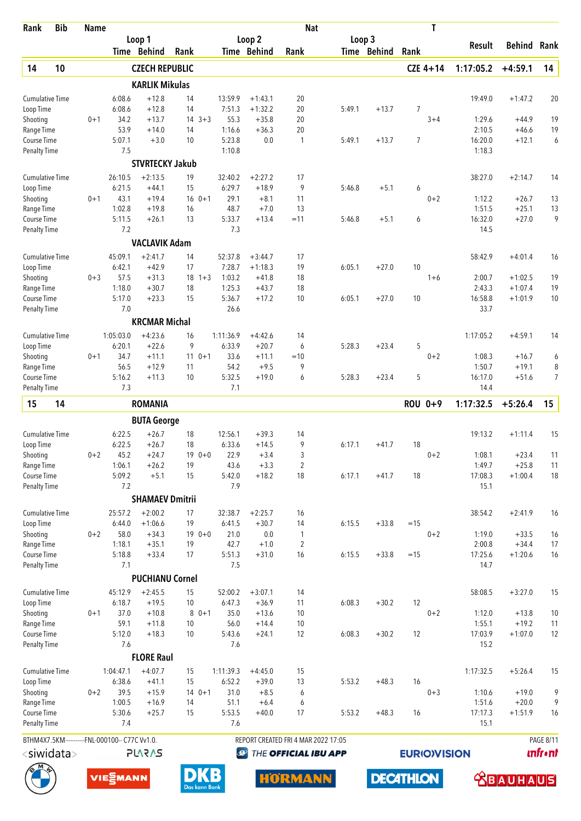| <b>Bib</b><br>Rank                             | <b>Name</b> |                  |                        |          |               |                   |                        | <b>Nat</b>                          |        |                  |                | Τ                   |                   |                      |                  |
|------------------------------------------------|-------------|------------------|------------------------|----------|---------------|-------------------|------------------------|-------------------------------------|--------|------------------|----------------|---------------------|-------------------|----------------------|------------------|
|                                                |             |                  | Loop 1                 |          |               |                   | Loop <sub>2</sub>      |                                     | Loop 3 |                  |                |                     | Result            | <b>Behind</b>        | Rank             |
|                                                |             |                  | Time Behind            | Rank     |               |                   | Time Behind            | Rank                                |        | Time Behind      | Rank           |                     |                   |                      |                  |
| 14<br>10                                       |             |                  | <b>CZECH REPUBLIC</b>  |          |               |                   |                        |                                     |        |                  |                | $CZE 4+14$          | 1:17:05.2         | $+4:59.1$            | 14               |
|                                                |             |                  | <b>KARLIK Mikulas</b>  |          |               |                   |                        |                                     |        |                  |                |                     |                   |                      |                  |
| <b>Cumulative Time</b><br>Loop Time            |             | 6:08.6<br>6:08.6 | $+12.8$<br>$+12.8$     | 14<br>14 |               | 13:59.9<br>7:51.3 | $+1:43.1$<br>$+1:32.2$ | 20<br>20                            | 5:49.1 | $+13.7$          | 7              |                     | 19:49.0           | $+1:47.2$            | 20               |
| Shooting                                       | $0 + 1$     | 34.2             | $+13.7$                | 14       | $3 + 3$       | 55.3              | $+35.8$                | 20                                  |        |                  |                | $3 + 4$             | 1:29.6            | $+44.9$              | 19               |
| Range Time                                     |             | 53.9             | $+14.0$                | 14       |               | 1:16.6            | $+36.3$                | 20                                  |        |                  |                |                     | 2:10.5            | $+46.6$              | 19               |
| <b>Course Time</b>                             |             | 5:07.1           | $+3.0$                 | 10       |               | 5:23.8            | 0.0                    | 1                                   | 5:49.1 | $+13.7$          | $\overline{7}$ |                     | 16:20.0           | $+12.1$              | 6                |
| Penalty Time                                   |             | 7.5              |                        |          |               | 1:10.8            |                        |                                     |        |                  |                |                     | 1:18.3            |                      |                  |
|                                                |             |                  | <b>STVRTECKY Jakub</b> |          |               |                   |                        |                                     |        |                  |                |                     |                   |                      |                  |
| <b>Cumulative Time</b>                         |             | 26:10.5          | $+2:13.5$              | 19       |               | 32:40.2           | $+2:27.2$              | 17                                  |        |                  |                |                     | 38:27.0           | $+2:14.7$            | 14               |
| Loop Time                                      |             | 6:21.5           | $+44.1$                | 15       |               | 6:29.7            | $+18.9$                | 9                                   | 5:46.8 | $+5.1$           | 6              |                     |                   |                      |                  |
| Shooting                                       | $0 + 1$     | 43.1             | $+19.4$                | 16       | $0 + 1$       | 29.1              | $+8.1$                 | 11                                  |        |                  |                | $0 + 2$             | 1:12.2            | $+26.7$              | 13               |
| Range Time<br>Course Time                      |             | 1:02.8<br>5:11.5 | $+19.8$<br>$+26.1$     | 16<br>13 |               | 48.7<br>5:33.7    | $+7.0$<br>$+13.4$      | 13<br>$=11$                         | 5:46.8 | $+5.1$           | 6              |                     | 1:51.5<br>16:32.0 | $+25.1$<br>$+27.0$   | 13<br>9          |
| <b>Penalty Time</b>                            |             | 7.2              |                        |          |               | 7.3               |                        |                                     |        |                  |                |                     | 14.5              |                      |                  |
|                                                |             |                  | <b>VACLAVIK Adam</b>   |          |               |                   |                        |                                     |        |                  |                |                     |                   |                      |                  |
| <b>Cumulative Time</b>                         |             | 45:09.1          | $+2:41.7$              | 14       |               | 52:37.8           | $+3:44.7$              | 17                                  |        |                  |                |                     | 58:42.9           | $+4:01.4$            | 16               |
| Loop Time                                      |             | 6:42.1           | $+42.9$                | 17       |               | 7:28.7            | $+1:18.3$              | 19                                  | 6:05.1 | $+27.0$          | 10             |                     |                   |                      |                  |
| Shooting                                       | $0 + 3$     | 57.5             | $+31.3$                |          | $18 \t1+3$    | 1:03.2            | $+41.8$                | 18                                  |        |                  |                | $1 + 6$             | 2:00.7            | $+1:02.5$            | 19               |
| Range Time                                     |             | 1:18.0           | $+30.7$                | 18       |               | 1:25.3            | $+43.7$                | 18                                  |        |                  |                |                     | 2:43.3            | $+1:07.4$            | 19               |
| Course Time                                    |             | 5:17.0           | $+23.3$                | 15       |               | 5:36.7            | $+17.2$                | 10                                  | 6:05.1 | $+27.0$          | 10             |                     | 16:58.8           | $+1:01.9$            | 10               |
| <b>Penalty Time</b>                            |             | 7.0              |                        |          |               | 26.6              |                        |                                     |        |                  |                |                     | 33.7              |                      |                  |
|                                                |             |                  | <b>KRCMAR Michal</b>   |          |               |                   |                        |                                     |        |                  |                |                     |                   |                      |                  |
| Cumulative Time                                |             | 1:05:03.0        | $+4:23.6$              | 16       |               | 1:11:36.9         | $+4:42.6$              | 14                                  |        |                  |                |                     | 1:17:05.2         | $+4:59.1$            | 14               |
| Loop Time                                      |             | 6:20.1           | $+22.6$                | 9        |               | 6:33.9            | $+20.7$                | 6                                   | 5:28.3 | $+23.4$          | 5              |                     |                   |                      |                  |
| Shooting                                       | $0 + 1$     | 34.7             | $+11.1$                | 11       | $0 + 1$       | 33.6              | $+11.1$                | $=10$                               |        |                  |                | $0 + 2$             | 1:08.3            | $+16.7$              | 6                |
| Range Time                                     |             | 56.5             | $+12.9$                | 11       |               | 54.2              | $+9.5$                 | 9                                   |        |                  |                |                     | 1:50.7            | $+19.1$              | 8                |
| Course Time                                    |             | 5:16.2           | $+11.3$                | 10       |               | 5:32.5            | $+19.0$                | 6                                   | 5:28.3 | $+23.4$          | 5              |                     | 16:17.0           | $+51.6$              | $\overline{7}$   |
| Penalty Time                                   |             | 7.3              |                        |          |               | 7.1               |                        |                                     |        |                  |                |                     | 14.4              |                      |                  |
| 15<br>14                                       |             |                  | <b>ROMANIA</b>         |          |               |                   |                        |                                     |        |                  |                | ROU 0+9             | 1:17:32.5         | $+5:26.4$            | 15               |
|                                                |             |                  | <b>BUTA George</b>     |          |               |                   |                        |                                     |        |                  |                |                     |                   |                      |                  |
| <b>Cumulative Time</b>                         |             | 6:22.5           | $+26.7$                | 18       |               | 12:56.1           | $+39.3$                | 14                                  |        |                  |                |                     | 19:13.2           | $+1:11.4$            | 15               |
| Loop Time                                      |             | 6:22.5           | $+26.7$                | 18       |               | 6:33.6            | $+14.5$                | 9                                   | 6:17.1 | $+41.7$          | 18             |                     |                   |                      |                  |
| Shooting                                       | $0 + 2$     | 45.2             | $+24.7$                |          | $190+0$       | 22.9              | $+3.4$                 | 3                                   |        |                  |                | $0 + 2$             | 1:08.1            | $+23.4$              | 11               |
| Range Time                                     |             | 1:06.1           | $+26.2$                | 19       |               | 43.6              | $+3.3$                 | $\overline{2}$                      |        |                  |                |                     | 1:49.7            | $+25.8$              | 11               |
| Course Time<br><b>Penalty Time</b>             |             | 5:09.2<br>7.2    | $+5.1$                 | 15       |               | 5:42.0<br>7.9     | $+18.2$                | 18                                  | 6:17.1 | $+41.7$          | 18             |                     | 17:08.3<br>15.1   | $+1:00.4$            | 18               |
|                                                |             |                  | <b>SHAMAEV Dmitrii</b> |          |               |                   |                        |                                     |        |                  |                |                     |                   |                      |                  |
|                                                |             |                  |                        |          |               |                   |                        |                                     |        |                  |                |                     |                   |                      |                  |
| <b>Cumulative Time</b>                         |             | 25:57.2          | $+2:00.2$              | 17       |               | 32:38.7           | $+2:25.7$              | 16                                  |        |                  |                |                     | 38:54.2           | $+2:41.9$            | 16               |
| Loop Time<br>Shooting                          | $0 + 2$     | 6:44.0<br>58.0   | $+1:06.6$<br>$+34.3$   | 19       | $190+0$       | 6:41.5<br>21.0    | $+30.7$<br>0.0         | 14<br>1                             | 6:15.5 | $+33.8$          | $=15$          | $0 + 2$             | 1:19.0            | $+33.5$              | 16               |
| Range Time                                     |             | 1:18.1           | $+35.1$                | 19       |               | 42.7              | $+1.0$                 | 2                                   |        |                  |                |                     | 2:00.8            | $+34.4$              | 17               |
| Course Time                                    |             | 5:18.8           | $+33.4$                | 17       |               | 5:51.3            | $+31.0$                | 16                                  | 6:15.5 | $+33.8$          | $=15$          |                     | 17:25.6           | $+1:20.6$            | 16               |
| <b>Penalty Time</b>                            |             | 7.1              |                        |          |               | 7.5               |                        |                                     |        |                  |                |                     | 14.7              |                      |                  |
|                                                |             |                  | <b>PUCHIANU Cornel</b> |          |               |                   |                        |                                     |        |                  |                |                     |                   |                      |                  |
| Cumulative Time                                |             | 45:12.9          | $+2:45.5$              | 15       |               | 52:00.2           | $+3:07.1$              | 14                                  |        |                  |                |                     | 58:08.5           | $+3:27.0$            | 15               |
| Loop Time                                      |             | 6:18.7           | $+19.5$                | 10       |               | 6:47.3            | $+36.9$                | 11                                  | 6:08.3 | $+30.2$          | 12             |                     |                   |                      |                  |
| Shooting                                       | $0 + 1$     | 37.0             | $+10.8$                | 8        | $0 + 1$       | 35.0              | $+13.6$                | 10                                  |        |                  |                | $0 + 2$             | 1:12.0            | $+13.8$              | 10               |
| Range Time                                     |             | 59.1             | $+11.8$                | 10       |               | 56.0              | $+14.4$                | 10                                  |        |                  |                |                     | 1:55.1            | $+19.2$              | 11               |
| Course Time                                    |             | 5:12.0           | $+18.3$                | 10       |               | 5:43.6            | $+24.1$                | 12                                  | 6:08.3 | $+30.2$          | 12             |                     | 17:03.9           | $+1:07.0$            | 12               |
| <b>Penalty Time</b>                            |             | 7.6              |                        |          |               | 7.6               |                        |                                     |        |                  |                |                     | 15.2              |                      |                  |
|                                                |             |                  | <b>FLORE Raul</b>      |          |               |                   |                        |                                     |        |                  |                |                     |                   |                      |                  |
| Cumulative Time                                |             | 1:04:47.1        | $+4:07.7$              | 15       |               | 1:11:39.3         | $+4:45.0$              | 15                                  |        |                  |                |                     | 1:17:32.5         | $+5:26.4$            | 15               |
| Loop Time                                      |             | 6:38.6           | $+41.1$                | 15       |               | 6:52.2            | $+39.0$                | 13                                  | 5:53.2 | $+48.3$          | 16             |                     |                   |                      |                  |
| Shooting                                       | $0 + 2$     | 39.5             | $+15.9$                |          | $140+1$       | 31.0              | $+8.5$                 | 6                                   |        |                  |                | $0 + 3$             | 1:10.6            | $+19.0$              | 9                |
| Range Time<br>Course Time                      |             | 1:00.5<br>5:30.6 | $+16.9$<br>$+25.7$     | 14<br>15 |               | 51.1<br>5:53.5    | $+6.4$<br>$+40.0$      | 6<br>17                             | 5:53.2 | $+48.3$          | 16             |                     | 1:51.6<br>17:17.3 | $+20.0$<br>$+1:51.9$ | 9<br>16          |
| Penalty Time                                   |             | 7.4              |                        |          |               | 7.6               |                        |                                     |        |                  |                |                     | 15.1              |                      |                  |
| BTHM4X7.5KM-----------FNL-000100-- C77C Vv1.0. |             |                  |                        |          |               |                   |                        | REPORT CREATED FRI 4 MAR 2022 17:05 |        |                  |                |                     |                   |                      | <b>PAGE 8/11</b> |
| <siwidata></siwidata>                          |             |                  | <b>PLARAS</b>          |          |               | $\bigcirc$        |                        | THE OFFICIAL IBU APP                |        |                  |                | <b>EURIO)VISION</b> |                   |                      | <b>unfront</b>   |
|                                                |             |                  |                        |          |               |                   |                        |                                     |        |                  |                |                     |                   |                      |                  |
|                                                |             | VIE EMANN        |                        |          | Das kann Bank |                   |                        | <b>HORMANN</b>                      |        | <b>DECATHLON</b> |                |                     |                   | <b>ABAUHAUS</b>      |                  |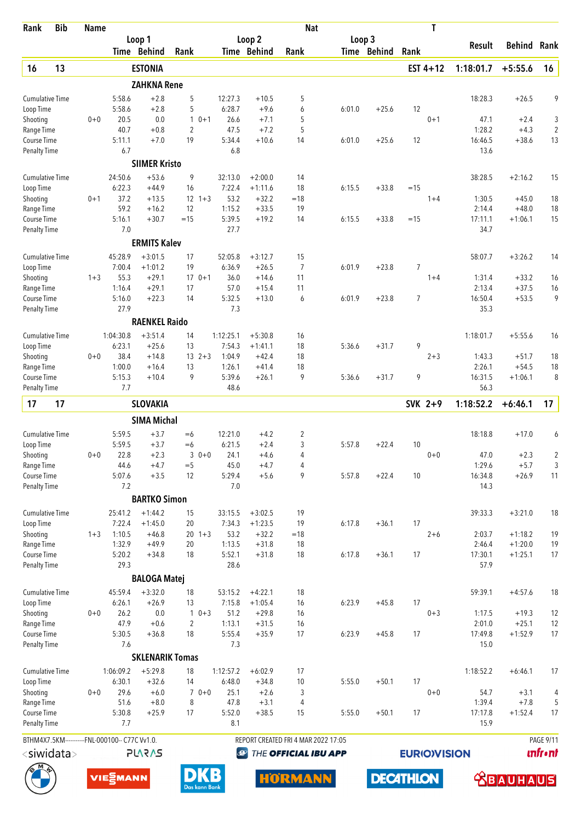| Rank                                | <b>Bib</b> | <b>Name</b> |                                                |                        |                |               |                   |                        | <b>Nat</b>                          |        |                  |       | T                   |                   |                    |                  |
|-------------------------------------|------------|-------------|------------------------------------------------|------------------------|----------------|---------------|-------------------|------------------------|-------------------------------------|--------|------------------|-------|---------------------|-------------------|--------------------|------------------|
|                                     |            |             |                                                | Loop 1                 |                |               |                   | Loop <sub>2</sub>      |                                     | Loop 3 |                  |       |                     | Result            | Behind             | Rank             |
|                                     |            |             |                                                | Time Behind            | Rank           |               |                   | Time Behind            | Rank                                |        | Time Behind      | Rank  |                     |                   |                    |                  |
| 16                                  | 13         |             |                                                | <b>ESTONIA</b>         |                |               |                   |                        |                                     |        |                  |       | EST $4+12$          | 1:18:01.7         | $+5:55.6$          | 16               |
|                                     |            |             |                                                | <b>ZAHKNA Rene</b>     |                |               |                   |                        |                                     |        |                  |       |                     |                   |                    |                  |
| <b>Cumulative Time</b><br>Loop Time |            |             | 5:58.6<br>5:58.6                               | $+2.8$<br>$+2.8$       | 5<br>5         |               | 12:27.3<br>6:28.7 | $+10.5$<br>$+9.6$      | 5<br>6                              | 6:01.0 | $+25.6$          | 12    |                     | 18:28.3           | $+26.5$            | 9                |
| Shooting                            |            | $0 + 0$     | 20.5                                           | 0.0                    | $\mathbf{1}$   | $0 + 1$       | 26.6              | $+7.1$                 | 5                                   |        |                  |       | $0 + 1$             | 47.1              | $+2.4$             | 3                |
| Range Time                          |            |             | 40.7                                           | $+0.8$                 | $\overline{2}$ |               | 47.5              | $+7.2$                 | 5                                   |        |                  |       |                     | 1:28.2            | $+4.3$             | $\overline{2}$   |
| Course Time                         |            |             | 5:11.1                                         | $+7.0$                 | 19             |               | 5:34.4            | $+10.6$                | 14                                  | 6:01.0 | $+25.6$          | 12    |                     | 16:46.5           | $+38.6$            | 13               |
| <b>Penalty Time</b>                 |            |             | 6.7                                            |                        |                |               | 6.8               |                        |                                     |        |                  |       |                     | 13.6              |                    |                  |
|                                     |            |             |                                                | <b>SIIMER Kristo</b>   |                |               |                   |                        |                                     |        |                  |       |                     |                   |                    |                  |
| <b>Cumulative Time</b>              |            |             | 24:50.6<br>6:22.3                              | $+53.6$<br>$+44.9$     | 9              |               | 32:13.0           | $+2:00.0$              | 14<br>18                            | 6:15.5 | $+33.8$          | $=15$ |                     | 38:28.5           | $+2:16.2$          | 15               |
| Loop Time<br>Shooting               |            | $0 + 1$     | 37.2                                           | $+13.5$                | 16             | $12 \t1+3$    | 7:22.4<br>53.2    | $+1:11.6$<br>$+32.2$   | $=18$                               |        |                  |       | $1 + 4$             | 1:30.5            | $+45.0$            | 18               |
| Range Time                          |            |             | 59.2                                           | $+16.2$                | 12             |               | 1:15.2            | $+33.5$                | 19                                  |        |                  |       |                     | 2:14.4            | $+48.0$            | 18               |
| Course Time                         |            |             | 5:16.1                                         | $+30.7$                | $=15$          |               | 5:39.5            | $+19.2$                | 14                                  | 6:15.5 | $+33.8$          | $=15$ |                     | 17:11.1           | $+1:06.1$          | 15               |
| <b>Penalty Time</b>                 |            |             | 7.0                                            |                        |                |               | 27.7              |                        |                                     |        |                  |       |                     | 34.7              |                    |                  |
|                                     |            |             |                                                | <b>ERMITS Kalev</b>    |                |               |                   |                        |                                     |        |                  |       |                     |                   |                    |                  |
| <b>Cumulative Time</b>              |            |             | 45:28.9                                        | $+3:01.5$              | 17             |               | 52:05.8           | $+3:12.7$              | 15                                  |        |                  |       |                     | 58:07.7           | $+3:26.2$          | 14               |
| Loop Time                           |            |             | 7:00.4                                         | $+1:01.2$              | 19             |               | 6:36.9            | $+26.5$                | $\overline{7}$                      | 6:01.9 | $+23.8$          | 7     |                     |                   |                    |                  |
| Shooting                            |            | $1 + 3$     | 55.3                                           | $+29.1$                | 17             | $170+1$       | 36.0<br>57.0      | $+14.6$                | 11                                  |        |                  |       | $1 + 4$             | 1:31.4            | $+33.2$<br>$+37.5$ | 16               |
| Range Time<br>Course Time           |            |             | 1:16.4<br>5:16.0                               | $+29.1$<br>$+22.3$     | 14             |               | 5:32.5            | $+15.4$<br>$+13.0$     | 11<br>6                             | 6:01.9 | $+23.8$          | 7     |                     | 2:13.4<br>16:50.4 | $+53.5$            | 16<br>9          |
| <b>Penalty Time</b>                 |            |             | 27.9                                           |                        |                |               | 7.3               |                        |                                     |        |                  |       |                     | 35.3              |                    |                  |
|                                     |            |             |                                                | <b>RAENKEL Raido</b>   |                |               |                   |                        |                                     |        |                  |       |                     |                   |                    |                  |
| <b>Cumulative Time</b>              |            |             | 1:04:30.8                                      | $+3:51.4$              | 14             |               | 1:12:25.1         | $+5:30.8$              | 16                                  |        |                  |       |                     | 1:18:01.7         | $+5:55.6$          | 16               |
| Loop Time                           |            |             | 6:23.1                                         | $+25.6$                | 13             |               | 7:54.3            | $+1:41.1$              | 18                                  | 5:36.6 | $+31.7$          | 9     |                     |                   |                    |                  |
| Shooting                            |            | $0 + 0$     | 38.4                                           | $+14.8$                |                | $13 \t2+3$    | 1:04.9            | $+42.4$                | 18                                  |        |                  |       | $2 + 3$             | 1:43.3            | $+51.7$            | 18               |
| Range Time                          |            |             | 1:00.0                                         | $+16.4$                | 13             |               | 1:26.1            | $+41.4$                | 18                                  |        |                  |       |                     | 2:26.1            | $+54.5$            | 18               |
| Course Time                         |            |             | 5:15.3                                         | $+10.4$                | 9              |               | 5:39.6            | $+26.1$                | 9                                   | 5:36.6 | $+31.7$          | 9     |                     | 16:31.5           | $+1:06.1$          | 8                |
| <b>Penalty Time</b>                 |            |             | 7.7                                            |                        |                |               | 48.6              |                        |                                     |        |                  |       |                     | 56.3              |                    |                  |
| 17                                  | 17         |             |                                                | <b>SLOVAKIA</b>        |                |               |                   |                        |                                     |        |                  |       | SVK 2+9             | 1:18:52.2         | $+6:46.1$          | 17               |
|                                     |            |             |                                                | <b>SIMA Michal</b>     |                |               |                   |                        |                                     |        |                  |       |                     |                   |                    |                  |
| <b>Cumulative Time</b>              |            |             | 5:59.5                                         | $+3.7$                 | $=6$           |               | 12:21.0           | $+4.2$                 | $\overline{c}$                      |        |                  |       |                     | 18:18.8           | $+17.0$            | 6                |
| Loop Time                           |            |             | 5:59.5                                         | $+3.7$                 | $=6$           |               | 6:21.5            | +2.4                   | 3                                   | 5:57.8 | $+22.4$          | 10    |                     |                   |                    |                  |
| Shooting<br>Range Time              |            | $0+0$       | 22.8<br>44.6                                   | $+2.3$<br>$+4.7$       | 3<br>$=$ 5     | $0+0$         | 24.1<br>45.0      | $+4.6$<br>$+4.7$       | 4<br>4                              |        |                  |       | $0 + 0$             | 47.0<br>1:29.6    | $+2.3$<br>$+5.7$   | 2<br>3           |
| Course Time                         |            |             | 5:07.6                                         | $+3.5$                 | 12             |               | 5:29.4            | $+5.6$                 | 9                                   | 5:57.8 | $+22.4$          | 10    |                     | 16:34.8           | $+26.9$            | 11               |
| Penalty Time                        |            |             | 7.2                                            |                        |                |               | 7.0               |                        |                                     |        |                  |       |                     | 14.3              |                    |                  |
|                                     |            |             |                                                | <b>BARTKO Simon</b>    |                |               |                   |                        |                                     |        |                  |       |                     |                   |                    |                  |
| <b>Cumulative Time</b>              |            |             | 25:41.2                                        | $+1:44.2$              | 15             |               | 33:15.5           | $+3:02.5$              | 19                                  |        |                  |       |                     | 39:33.3           | $+3:21.0$          | 18               |
| Loop Time                           |            |             | 7:22.4                                         | $+1:45.0$              | 20             |               | 7:34.3            | $+1:23.5$              | 19                                  | 6:17.8 | $+36.1$          | 17    |                     |                   |                    |                  |
| Shooting                            |            | $1 + 3$     | 1:10.5                                         | $+46.8$                |                | $20 \t1+3$    | 53.2              | $+32.2$                | $=18$                               |        |                  |       | $2 + 6$             | 2:03.7            | $+1:18.2$          | 19               |
| Range Time                          |            |             | 1:32.9                                         | $+49.9$                | 20             |               | 1:13.5            | $+31.8$                | 18                                  |        |                  |       |                     | 2:46.4            | $+1:20.0$          | 19               |
| Course Time<br><b>Penalty Time</b>  |            |             | 5:20.2<br>29.3                                 | $+34.8$                | 18             |               | 5:52.1<br>28.6    | $+31.8$                | 18                                  | 6:17.8 | $+36.1$          | 17    |                     | 17:30.1<br>57.9   | $+1:25.1$          | 17               |
|                                     |            |             |                                                | <b>BALOGA Matej</b>    |                |               |                   |                        |                                     |        |                  |       |                     |                   |                    |                  |
|                                     |            |             |                                                | $+3:32.0$              |                |               |                   |                        |                                     |        |                  |       |                     |                   |                    |                  |
| <b>Cumulative Time</b><br>Loop Time |            |             | 45:59.4<br>6:26.1                              | $+26.9$                | 18<br>13       |               | 53:15.2<br>7:15.8 | $+4:22.1$<br>$+1:05.4$ | 18<br>16                            | 6:23.9 | $+45.8$          | 17    |                     | 59:39.1           | $+4:57.6$          | 18               |
| Shooting                            |            | $0 + 0$     | 26.2                                           | 0.0                    | 1              | $0 + 3$       | 51.2              | $+29.8$                | 16                                  |        |                  |       | $0 + 3$             | 1:17.5            | $+19.3$            | 12               |
| Range Time                          |            |             | 47.9                                           | $+0.6$                 | 2              |               | 1:13.1            | $+31.5$                | 16                                  |        |                  |       |                     | 2:01.0            | $+25.1$            | 12               |
| Course Time                         |            |             | 5:30.5                                         | $+36.8$                | 18             |               | 5:55.4            | $+35.9$                | 17                                  | 6:23.9 | $+45.8$          | 17    |                     | 17:49.8           | $+1:52.9$          | 17               |
| <b>Penalty Time</b>                 |            |             | 7.6                                            |                        |                |               | 7.3               |                        |                                     |        |                  |       |                     | 15.0              |                    |                  |
|                                     |            |             |                                                | <b>SKLENARIK Tomas</b> |                |               |                   |                        |                                     |        |                  |       |                     |                   |                    |                  |
| <b>Cumulative Time</b>              |            |             | 1:06:09.2                                      | $+5:29.8$              | 18             |               | 1:12:57.2         | $+6:02.9$              | 17                                  |        |                  |       |                     | 1:18:52.2         | $+6:46.1$          | 17               |
| Loop Time                           |            |             | 6:30.1                                         | $+32.6$                | 14             |               | 6:48.0            | $+34.8$                | 10                                  | 5:55.0 | $+50.1$          | 17    |                     |                   |                    |                  |
| Shooting<br>Range Time              |            | $0+0$       | 29.6<br>51.6                                   | $+6.0$<br>$+8.0$       | 8              | $70+0$        | 25.1<br>47.8      | $+2.6$<br>$+3.1$       | 3<br>4                              |        |                  |       | $0 + 0$             | 54.7<br>1:39.4    | $+3.1$<br>$+7.8$   | 4<br>5           |
| Course Time                         |            |             | 5:30.8                                         | $+25.9$                | 17             |               | 5:52.0            | $+38.5$                | 15                                  | 5:55.0 | $+50.1$          | 17    |                     | 17:17.8           | $+1:52.4$          | 17               |
| <b>Penalty Time</b>                 |            |             | 7.7                                            |                        |                |               | 8.1               |                        |                                     |        |                  |       |                     | 15.9              |                    |                  |
|                                     |            |             | BTHM4X7.5KM-----------FNL-000100-- C77C Vv1.0. |                        |                |               |                   |                        | REPORT CREATED FRI 4 MAR 2022 17:05 |        |                  |       |                     |                   |                    | <b>PAGE 9/11</b> |
| $<$ siwidata $>$                    |            |             |                                                | <b>PLARAS</b>          |                |               | $\bigcirc$        |                        | THE OFFICIAL IBU APP                |        |                  |       | <b>EURIO)VISION</b> |                   |                    | <b>unfr</b> •nt  |
|                                     |            |             |                                                |                        |                |               |                   |                        |                                     |        |                  |       |                     |                   |                    |                  |
|                                     |            |             | VIE EMANN                                      |                        |                | Das kann Bank |                   |                        | HÖRMANN                             |        | <b>DECATHLON</b> |       |                     |                   | BAIL               |                  |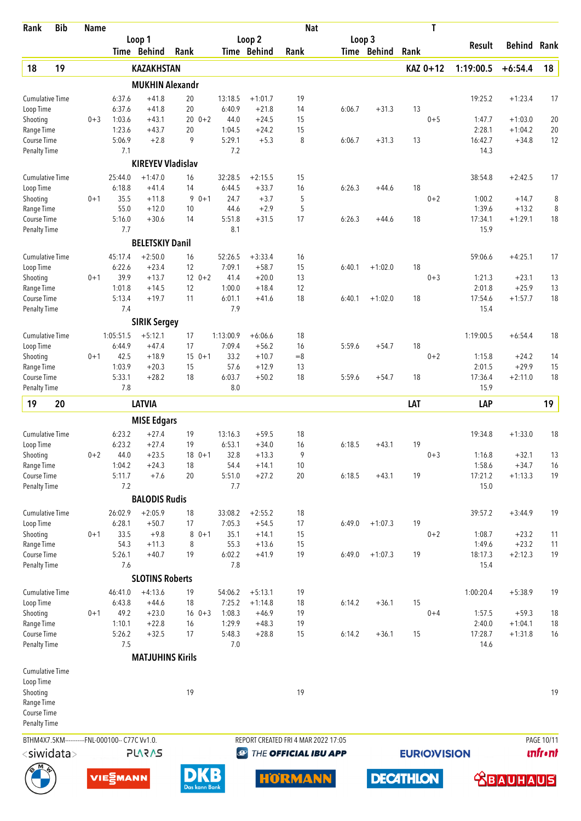| Rank                                | <b>Bib</b>       | <b>Name</b> |                                                |                          |          |               |                   |                      | <b>Nat</b>                          |        |                  |      | T                   |                   |                      |                |
|-------------------------------------|------------------|-------------|------------------------------------------------|--------------------------|----------|---------------|-------------------|----------------------|-------------------------------------|--------|------------------|------|---------------------|-------------------|----------------------|----------------|
|                                     |                  |             |                                                | Loop 1                   |          |               |                   | Loop 2               |                                     |        | Loop 3           |      |                     | Result            | Behind               | Rank           |
|                                     |                  |             |                                                | Time Behind              | Rank     |               |                   | Time Behind          | Rank                                |        | Time Behind      | Rank |                     |                   |                      |                |
| 18                                  | 19               |             |                                                | <b>KAZAKHSTAN</b>        |          |               |                   |                      |                                     |        |                  |      | KAZ 0+12            | 1:19:00.5         | $+6:54.4$            | 18             |
|                                     |                  |             |                                                | <b>MUKHIN Alexandr</b>   |          |               |                   |                      |                                     |        |                  |      |                     |                   |                      |                |
| <b>Cumulative Time</b>              |                  |             | 6:37.6                                         | $+41.8$                  | 20       |               | 13:18.5           | $+1:01.7$            | 19                                  |        |                  |      |                     | 19:25.2           | $+1:23.4$            | 17             |
| Loop Time                           |                  |             | 6:37.6                                         | $+41.8$                  | 20       |               | 6:40.9            | $+21.8$              | 14                                  | 6:06.7 | $+31.3$          | 13   |                     |                   |                      |                |
| Shooting                            |                  | $0 + 3$     | 1:03.6                                         | $+43.1$                  | 20       | $0 + 2$       | 44.0              | $+24.5$              | 15                                  |        |                  |      | $0 + 5$             | 1:47.7            | $+1:03.0$            | 20             |
| Range Time<br>Course Time           |                  |             | 1:23.6<br>5:06.9                               | $+43.7$<br>$+2.8$        | 20<br>9  |               | 1:04.5<br>5:29.1  | $+24.2$<br>$+5.3$    | 15<br>8                             | 6:06.7 | $+31.3$          | 13   |                     | 2:28.1<br>16:42.7 | $+1:04.2$<br>$+34.8$ | 20<br>12       |
| <b>Penalty Time</b>                 |                  |             | 7.1                                            |                          |          |               | 7.2               |                      |                                     |        |                  |      |                     | 14.3              |                      |                |
|                                     |                  |             |                                                | <b>KIREYEV Vladislav</b> |          |               |                   |                      |                                     |        |                  |      |                     |                   |                      |                |
| <b>Cumulative Time</b>              |                  |             | 25:44.0                                        | $+1:47.0$                | 16       |               | 32:28.5           | $+2:15.5$            | 15                                  |        |                  |      |                     | 38:54.8           | $+2:42.5$            | 17             |
| Loop Time                           |                  |             | 6:18.8                                         | $+41.4$                  | 14       |               | 6:44.5            | $+33.7$              | 16                                  | 6:26.3 | $+44.6$          | 18   |                     |                   |                      |                |
| Shooting                            |                  | $0 + 1$     | 35.5                                           | $+11.8$                  | 9        | $0 + 1$       | 24.7              | $+3.7$               | 5                                   |        |                  |      | $0 + 2$             | 1:00.2            | $+14.7$              | 8              |
| Range Time                          |                  |             | 55.0                                           | $+12.0$                  | 10       |               | 44.6              | $+2.9$               | 5                                   |        |                  |      |                     | 1:39.6            | $+13.2$              | 8              |
| Course Time                         |                  |             | 5:16.0<br>7.7                                  | $+30.6$                  | 14       |               | 5:51.8<br>8.1     | $+31.5$              | 17                                  | 6:26.3 | $+44.6$          | 18   |                     | 17:34.1<br>15.9   | $+1:29.1$            | 18             |
| <b>Penalty Time</b>                 |                  |             |                                                | <b>BELETSKIY Danil</b>   |          |               |                   |                      |                                     |        |                  |      |                     |                   |                      |                |
|                                     |                  |             |                                                |                          |          |               |                   |                      |                                     |        |                  |      |                     |                   |                      |                |
| <b>Cumulative Time</b>              |                  |             | 45:17.4                                        | $+2:50.0$<br>$+23.4$     | 16       |               | 52:26.5           | $+3:33.4$            | 16<br>15                            |        |                  | 18   |                     | 59:06.6           | $+4:25.1$            | 17             |
| Loop Time<br>Shooting               |                  | $0 + 1$     | 6:22.6<br>39.9                                 | $+13.7$                  | 12       | $12 \t 0+2$   | 7:09.1<br>41.4    | $+58.7$<br>$+20.0$   | 13                                  | 6:40.1 | $+1:02.0$        |      | $0 + 3$             | 1:21.3            | $+23.1$              | 13             |
| Range Time                          |                  |             | 1:01.8                                         | $+14.5$                  | 12       |               | 1:00.0            | $+18.4$              | 12                                  |        |                  |      |                     | 2:01.8            | $+25.9$              | 13             |
| Course Time                         |                  |             | 5:13.4                                         | $+19.7$                  | 11       |               | 6:01.1            | $+41.6$              | 18                                  | 6:40.1 | $+1:02.0$        | 18   |                     | 17:54.6           | $+1:57.7$            | 18             |
| <b>Penalty Time</b>                 |                  |             | 7.4                                            |                          |          |               | 7.9               |                      |                                     |        |                  |      |                     | 15.4              |                      |                |
|                                     |                  |             |                                                | <b>SIRIK Sergey</b>      |          |               |                   |                      |                                     |        |                  |      |                     |                   |                      |                |
| <b>Cumulative Time</b>              |                  |             | 1:05:51.5                                      | $+5:12.1$                | 17       |               | 1:13:00.9         | $+6:06.6$            | 18                                  |        |                  |      |                     | 1:19:00.5         | $+6:54.4$            | 18             |
| Loop Time                           |                  |             | 6:44.9                                         | $+47.4$                  | 17       |               | 7:09.4            | $+56.2$              | 16                                  | 5:59.6 | $+54.7$          | 18   |                     |                   |                      |                |
| Shooting                            |                  | $0 + 1$     | 42.5                                           | $+18.9$                  |          | $150+1$       | 33.2              | $+10.7$              | $= 8$                               |        |                  |      | $0 + 2$             | 1:15.8            | $+24.2$              | 14             |
| Range Time                          |                  |             | 1:03.9                                         | $+20.3$                  | 15       |               | 57.6              | $+12.9$              | 13                                  |        |                  |      |                     | 2:01.5            | $+29.9$              | 15             |
| Course Time                         |                  |             | 5:33.1                                         | $+28.2$                  | 18       |               | 6:03.7            | $+50.2$              | 18                                  | 5:59.6 | $+54.7$          | 18   |                     | 17:36.4           | $+2:11.0$            | 18             |
| <b>Penalty Time</b>                 |                  |             | 7.8                                            |                          |          |               | 8.0               |                      |                                     |        |                  |      |                     | 15.9              |                      |                |
| 19                                  | 20               |             |                                                | <b>LATVIA</b>            |          |               |                   |                      |                                     |        |                  | LAT  |                     | LAP               |                      | 19             |
|                                     |                  |             |                                                | <b>MISE Edgars</b>       |          |               |                   |                      |                                     |        |                  |      |                     |                   |                      |                |
| <b>Cumulative Time</b>              |                  |             | 6:23.2                                         | $+27.4$                  | 19       |               | 13:16.3           | $+59.5$              | 18                                  |        |                  |      |                     | 19:34.8           | $+1:33.0$            | 18             |
| Loop Time                           |                  |             | 6:23.2                                         | $+27.4$                  | 19       |               | 6:53.1            | $+34.0$              | 16                                  | 6:18.5 | $+43.1$          | 19   |                     |                   |                      |                |
| Shooting                            |                  | $0 + 2$     | 44.0                                           | $+23.5$                  |          | $180+1$       | 32.8              | $+13.3$              | 9                                   |        |                  |      | $0 + 3$             | 1:16.8            | $+32.1$              | 13             |
| Range Time                          |                  |             | 1:04.2<br>5:11.7                               | $+24.3$<br>$+7.6$        | 18<br>20 |               | 54.4              | $+14.1$<br>$+27.2$   | 10<br>20                            | 6:18.5 | $+43.1$          | 19   |                     | 1:58.6            | $+34.7$              | 16<br>19       |
| Course Time<br><b>Penalty Time</b>  |                  |             | 7.2                                            |                          |          |               | 5:51.0<br>7.7     |                      |                                     |        |                  |      |                     | 17:21.2<br>15.0   | $+1:13.3$            |                |
|                                     |                  |             |                                                | <b>BALODIS Rudis</b>     |          |               |                   |                      |                                     |        |                  |      |                     |                   |                      |                |
|                                     |                  |             |                                                |                          |          |               |                   |                      |                                     |        |                  |      |                     |                   |                      |                |
| <b>Cumulative Time</b><br>Loop Time |                  |             | 26:02.9<br>6:28.1                              | $+2:05.9$<br>$+50.7$     | 18<br>17 |               | 33:08.2<br>7:05.3 | $+2:55.2$<br>$+54.5$ | 18<br>17                            | 6:49.0 | $+1:07.3$        | 19   |                     | 39:57.2           | $+3:44.9$            | 19             |
| Shooting                            |                  | $0 + 1$     | 33.5                                           | $+9.8$                   | 8        | $0 + 1$       | 35.1              | $+14.1$              | 15                                  |        |                  |      | $0 + 2$             | 1:08.7            | $+23.2$              | 11             |
| Range Time                          |                  |             | 54.3                                           | $+11.3$                  | 8        |               | 55.3              | $+13.6$              | 15                                  |        |                  |      |                     | 1:49.6            | $+23.2$              | 11             |
| Course Time                         |                  |             | 5:26.1                                         | $+40.7$                  | 19       |               | 6:02.2            | $+41.9$              | 19                                  | 6:49.0 | $+1:07.3$        | 19   |                     | 18:17.3           | $+2:12.3$            | 19             |
| Penalty Time                        |                  |             | 7.6                                            |                          |          |               | 7.8               |                      |                                     |        |                  |      |                     | 15.4              |                      |                |
|                                     |                  |             |                                                | <b>SLOTINS Roberts</b>   |          |               |                   |                      |                                     |        |                  |      |                     |                   |                      |                |
| <b>Cumulative Time</b>              |                  |             | 46:41.0                                        | $+4:13.6$                | 19       |               | 54:06.2           | $+5:13.1$            | 19                                  |        |                  |      |                     | 1:00:20.4         | $+5:38.9$            | 19             |
| Loop Time                           |                  |             | 6:43.8                                         | $+44.6$                  | 18       |               | 7:25.2            | $+1:14.8$            | 18                                  | 6:14.2 | $+36.1$          | 15   |                     |                   |                      |                |
| Shooting                            |                  | $0 + 1$     | 49.2                                           | $+23.0$                  |          | $16 \t 0+3$   | 1:08.3            | $+46.9$              | 19                                  |        |                  |      | $0 + 4$             | 1:57.5            | $+59.3$              | 18             |
| Range Time                          |                  |             | 1:10.1                                         | $+22.8$                  | 16       |               | 1:29.9            | $+48.3$              | 19                                  |        |                  |      |                     | 2:40.0            | $+1:04.1$            | 18             |
| Course Time                         |                  |             | 5:26.2<br>7.5                                  | $+32.5$                  | 17       |               | 5:48.3<br>7.0     | $+28.8$              | 15                                  | 6:14.2 | $+36.1$          | 15   |                     | 17:28.7<br>14.6   | $+1:31.8$            | 16             |
| <b>Penalty Time</b>                 |                  |             |                                                |                          |          |               |                   |                      |                                     |        |                  |      |                     |                   |                      |                |
|                                     |                  |             |                                                | <b>MATJUHINS Kirils</b>  |          |               |                   |                      |                                     |        |                  |      |                     |                   |                      |                |
| <b>Cumulative Time</b>              |                  |             |                                                |                          |          |               |                   |                      |                                     |        |                  |      |                     |                   |                      |                |
| Loop Time<br>Shooting               |                  |             |                                                |                          | 19       |               |                   |                      | 19                                  |        |                  |      |                     |                   |                      | 19             |
| Range Time                          |                  |             |                                                |                          |          |               |                   |                      |                                     |        |                  |      |                     |                   |                      |                |
| Course Time                         |                  |             |                                                |                          |          |               |                   |                      |                                     |        |                  |      |                     |                   |                      |                |
| <b>Penalty Time</b>                 |                  |             |                                                |                          |          |               |                   |                      |                                     |        |                  |      |                     |                   |                      |                |
|                                     |                  |             | BTHM4X7.5KM-----------FNL-000100-- C77C Vv1.0. |                          |          |               |                   |                      | REPORT CREATED FRI 4 MAR 2022 17:05 |        |                  |      |                     |                   |                      | PAGE 10/11     |
|                                     | $<$ siwidata $>$ |             |                                                | <b>PLARAS</b>            |          |               | $\bigcirc$        |                      | THE OFFICIAL IBU APP                |        |                  |      | <b>EURIO)VISION</b> |                   |                      | <b>unfront</b> |
|                                     |                  |             |                                                |                          |          |               |                   |                      |                                     |        |                  |      |                     |                   |                      |                |
|                                     |                  |             | <b>VIE</b> EMANN                               |                          |          | Das kann Bank | В                 |                      | <b>HORMANN</b>                      |        | <b>DECATHLON</b> |      |                     |                   | <b>ABAUHAUS</b>      |                |